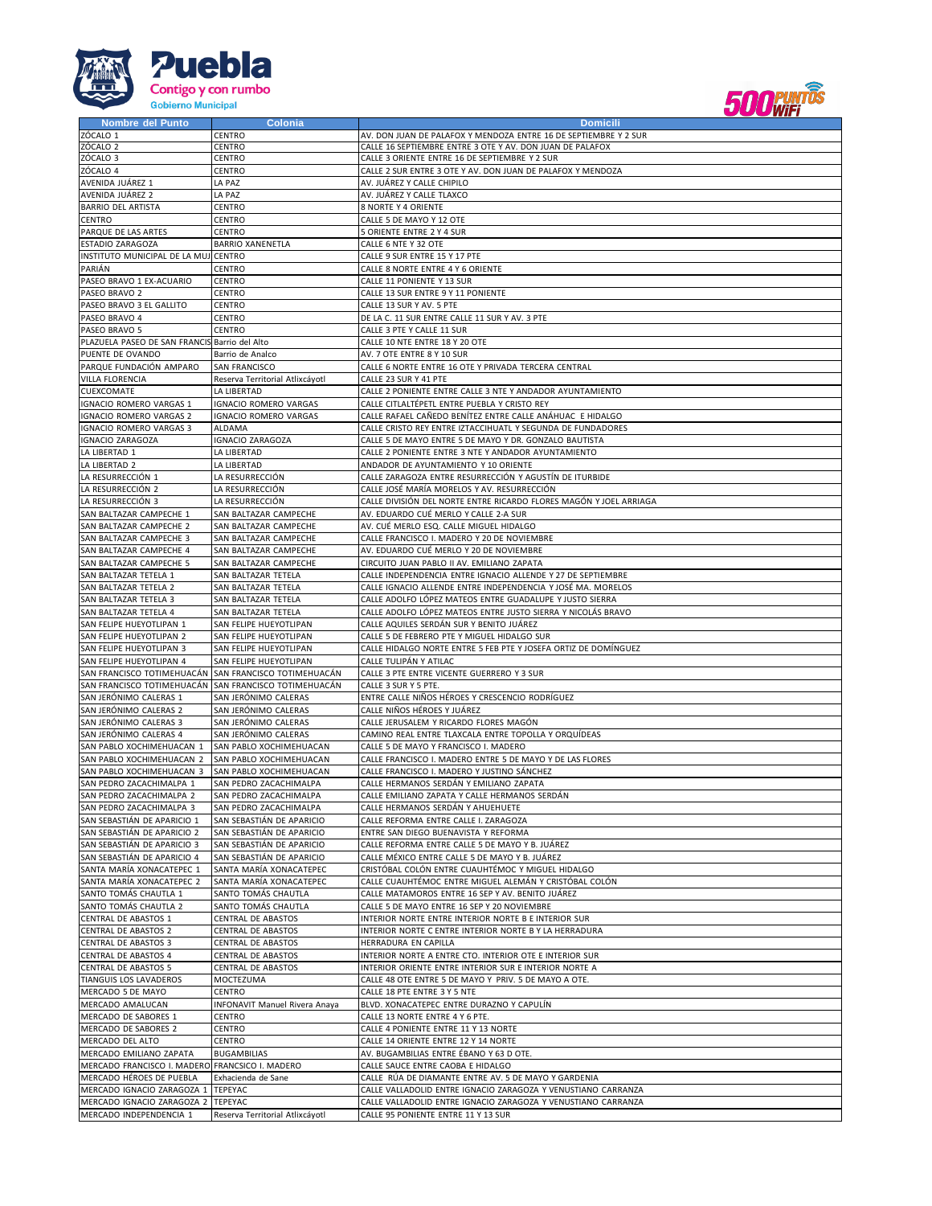



| <b>Nombre del Punto</b>                         | Colonia                                               | <b>Domicili</b>                                                    |
|-------------------------------------------------|-------------------------------------------------------|--------------------------------------------------------------------|
| ZÓCALO 1                                        | CENTRO                                                | AV. DON JUAN DE PALAFOX Y MENDOZA ENTRE 16 DE SEPTIEMBRE Y 2 SUR   |
| ZÓCALO <sub>2</sub>                             | CENTRO                                                | CALLE 16 SEPTIEMBRE ENTRE 3 OTE Y AV. DON JUAN DE PALAFOX          |
| ZÓCALO 3                                        | CENTRO                                                | CALLE 3 ORIENTE ENTRE 16 DE SEPTIEMBRE Y 2 SUR                     |
| ZÓCALO 4                                        | CENTRO                                                | CALLE 2 SUR ENTRE 3 OTE Y AV. DON JUAN DE PALAFOX Y MENDOZA        |
| AVENIDA JUÁREZ 1                                | LA PAZ                                                | AV. JUÁREZ Y CALLE CHIPILO                                         |
| AVENIDA JUÁREZ 2                                | LA PAZ                                                | AV. JUÁREZ Y CALLE TLAXCO                                          |
|                                                 |                                                       |                                                                    |
| <b>BARRIO DEL ARTISTA</b>                       | CENTRO                                                | 8 NORTE Y 4 ORIENTE                                                |
| CENTRO                                          | CENTRO                                                | CALLE 5 DE MAYO Y 12 OTE                                           |
| PARQUE DE LAS ARTES                             | CENTRO                                                | 5 ORIENTE ENTRE 2 Y 4 SUR                                          |
| ESTADIO ZARAGOZA                                | <b>BARRIO XANENETLA</b>                               | CALLE 6 NTE Y 32 OTE                                               |
| INSTITUTO MUNICIPAL DE LA MUJ CENTRO            |                                                       | CALLE 9 SUR ENTRE 15 Y 17 PTE                                      |
| PARIÁN                                          | CENTRO                                                | CALLE 8 NORTE ENTRE 4 Y 6 ORIENTE                                  |
| PASEO BRAVO 1 EX-ACUARIO                        | CENTRO                                                | CALLE 11 PONIENTE Y 13 SUR                                         |
| PASEO BRAVO 2                                   | CENTRO                                                | CALLE 13 SUR ENTRE 9 Y 11 PONIENTE                                 |
| PASEO BRAVO 3 EL GALLITO                        | <b>CENTRO</b>                                         | CALLE 13 SUR Y AV. 5 PTE                                           |
|                                                 |                                                       |                                                                    |
| PASEO BRAVO 4                                   | <b>CENTRO</b>                                         | DE LA C. 11 SUR ENTRE CALLE 11 SUR Y AV. 3 PTE                     |
| PASEO BRAVO 5                                   | CENTRO                                                | CALLE 3 PTE Y CALLE 11 SUR                                         |
| PLAZUELA PASEO DE SAN FRANCIS                   | Barrio del Alto                                       | CALLE 10 NTE ENTRE 18 Y 20 OTE                                     |
| PUENTE DE OVANDO                                | Barrio de Analco                                      | AV. 7 OTE ENTRE 8 Y 10 SUR                                         |
| PARQUE FUNDACIÓN AMPARO                         | SAN FRANCISCO                                         | CALLE 6 NORTE ENTRE 16 OTE Y PRIVADA TERCERA CENTRAL               |
| VILLA FLORENCIA                                 | Reserva Territorial Atlixcáyotl                       | CALLE 23 SUR Y 41 PTE                                              |
| CUEXCOMATE                                      | LA LIBERTAD                                           | CALLE 2 PONIENTE ENTRE CALLE 3 NTE Y ANDADOR AYUNTAMIENTO          |
| IGNACIO ROMERO VARGAS 1                         | IGNACIO ROMERO VARGAS                                 | CALLE CITLALTÉPETL ENTRE PUEBLA Y CRISTO REY                       |
| <b>IGNACIO ROMERO VARGAS 2</b>                  | <b>IGNACIO ROMERO VARGAS</b>                          | CALLE RAFAEL CAÑEDO BENÍTEZ ENTRE CALLE ANÁHUAC E HIDALGO          |
| <b>IGNACIO ROMERO VARGAS 3</b>                  | ALDAMA                                                | CALLE CRISTO REY ENTRE IZTACCIHUATL Y SEGUNDA DE FUNDADORES        |
|                                                 |                                                       |                                                                    |
| <b>IGNACIO ZARAGOZA</b>                         | <b>IGNACIO ZARAGOZA</b>                               | CALLE 5 DE MAYO ENTRE 5 DE MAYO Y DR. GONZALO BAUTISTA             |
| LA LIBERTAD 1                                   | LA LIBERTAD                                           | CALLE 2 PONIENTE ENTRE 3 NTE Y ANDADOR AYUNTAMIENTO                |
| LA LIBERTAD 2                                   | LA LIBERTAD                                           | ANDADOR DE AYUNTAMIENTO Y 10 ORIENTE                               |
| LA RESURRECCIÓN 1                               | LA RESURRECCIÓN                                       | CALLE ZARAGOZA ENTRE RESURRECCIÓN Y AGUSTÍN DE ITURBIDE            |
| LA RESURRECCIÓN 2                               | LA RESURRECCIÓN                                       | CALLE JOSÉ MARÍA MORELOS Y AV. RESURRECCIÓN                        |
| LA RESURRECCIÓN 3                               | LA RESURRECCIÓN                                       | CALLE DIVISIÓN DEL NORTE ENTRE RICARDO FLORES MAGÓN Y JOEL ARRIAGA |
| SAN BALTAZAR CAMPECHE 1                         | SAN BALTAZAR CAMPECHE                                 | AV. EDUARDO CUÉ MERLO Y CALLE 2-A SUR                              |
| SAN BALTAZAR CAMPECHE 2                         | SAN BALTAZAR CAMPECHE                                 | AV. CUÉ MERLO ESQ. CALLE MIGUEL HIDALGO                            |
| SAN BALTAZAR CAMPECHE 3                         | SAN BALTAZAR CAMPECHE                                 | CALLE FRANCISCO I. MADERO Y 20 DE NOVIEMBRE                        |
|                                                 |                                                       |                                                                    |
| SAN BALTAZAR CAMPECHE 4                         | SAN BALTAZAR CAMPECHE                                 | AV. EDUARDO CUÉ MERLO Y 20 DE NOVIEMBRE                            |
| SAN BALTAZAR CAMPECHE 5                         | SAN BALTAZAR CAMPECHE                                 | CIRCUITO JUAN PABLO II AV. EMILIANO ZAPATA                         |
| SAN BALTAZAR TETELA 1                           | SAN BALTAZAR TETELA                                   | CALLE INDEPENDENCIA ENTRE IGNACIO ALLENDE Y 27 DE SEPTIEMBRE       |
| SAN BALTAZAR TETELA 2                           | SAN BALTAZAR TETELA                                   | CALLE IGNACIO ALLENDE ENTRE INDEPENDENCIA Y JOSÉ MA. MORELOS       |
| SAN BALTAZAR TETELA 3                           | SAN BALTAZAR TETELA                                   | CALLE ADOLFO LÓPEZ MATEOS ENTRE GUADALUPE Y JUSTO SIERRA           |
| SAN BALTAZAR TETELA 4                           | SAN BALTAZAR TETELA                                   | CALLE ADOLFO LÓPEZ MATEOS ENTRE JUSTO SIERRA Y NICOLÁS BRAVO       |
| SAN FELIPE HUEYOTLIPAN 1                        | SAN FELIPE HUEYOTLIPAN                                | CALLE AQUILES SERDÁN SUR Y BENITO JUÁREZ                           |
| SAN FELIPE HUEYOTLIPAN 2                        | SAN FELIPE HUEYOTLIPAN                                | CALLE 5 DE FEBRERO PTE Y MIGUEL HIDALGO SUR                        |
| SAN FELIPE HUEYOTLIPAN 3                        | SAN FELIPE HUEYOTLIPAN                                | CALLE HIDALGO NORTE ENTRE 5 FEB PTE Y JOSEFA ORTIZ DE DOMÍNGUEZ    |
| SAN FELIPE HUEYOTLIPAN 4                        | SAN FELIPE HUEYOTLIPAN                                | CALLE TULIPÁN Y ATILAC                                             |
|                                                 |                                                       |                                                                    |
| SAN FRANCISCO TOTIMEHUACÁN                      | SAN FRANCISCO TOTIMEHUACÁN                            | CALLE 3 PTE ENTRE VICENTE GUERRERO Y 3 SUR                         |
|                                                 | SAN FRANCISCO TOTIMEHUACÁN SAN FRANCISCO TOTIMEHUACÁN | CALLE 3 SUR Y 5 PTE.                                               |
| SAN JERÓNIMO CALERAS 1                          | SAN JERÓNIMO CALERAS                                  | ENTRE CALLE NIÑOS HÉROES Y CRESCENCIO RODRÍGUEZ                    |
| SAN JERÓNIMO CALERAS 2                          | SAN JERÓNIMO CALERAS                                  | CALLE NIÑOS HÉROES Y JUÁREZ                                        |
| SAN JERÓNIMO CALERAS 3                          | SAN JERÓNIMO CALERAS                                  | CALLE JERUSALEM Y RICARDO FLORES MAGÓN                             |
| SAN JERÓNIMO CALERAS 4                          | SAN JERÓNIMO CALERAS                                  | CAMINO REAL ENTRE TLAXCALA ENTRE TOPOLLA Y ORQUÍDEAS               |
| SAN PABLO XOCHIMEHUACAN 1                       | SAN PABLO XOCHIMEHUACAN                               | CALLE 5 DE MAYO Y FRANCISCO I. MADERO                              |
| SAN PABLO XOCHIMEHUACAN 2                       | SAN PABLO XOCHIMEHUACAN                               | CALLE FRANCISCO I. MADERO ENTRE 5 DE MAYO Y DE LAS FLORES          |
| SAN PABLO XOCHIMEHUACAN 3                       | SAN PABLO XOCHIMEHUACAN                               | CALLE FRANCISCO I. MADERO Y JUSTINO SÁNCHEZ                        |
| SAN PEDRO ZACACHIMALPA 1                        | SAN PEDRO ZACACHIMALPA                                | CALLE HERMANOS SERDÁN Y EMILIANO ZAPATA                            |
| SAN PEDRO ZACACHIMALPA 2                        | SAN PEDRO ZACACHIMALPA                                | CALLE EMILIANO ZAPATA Y CALLE HERMANOS SERDÁN                      |
|                                                 |                                                       |                                                                    |
| SAN PEDRO ZACACHIMALPA 3                        | SAN PEDRO ZACACHIMALPA                                | CALLE HERMANOS SERDÁN Y AHUEHUETE                                  |
| SAN SEBASTIÁN DE APARICIO 1                     | SAN SEBASTIÁN DE APARICIO                             | CALLE REFORMA ENTRE CALLE I. ZARAGOZA                              |
| SAN SEBASTIÁN DE APARICIO 2                     | SAN SEBASTIÁN DE APARICIO                             | ENTRE SAN DIEGO BUENAVISTA Y REFORMA                               |
| SAN SEBASTIÁN DE APARICIO 3                     | SAN SEBASTIÁN DE APARICIO                             | CALLE REFORMA ENTRE CALLE 5 DE MAYO Y B. JUÁREZ                    |
| SAN SEBASTIÁN DE APARICIO 4                     | SAN SEBASTIÁN DE APARICIO                             | CALLE MÉXICO ENTRE CALLE 5 DE MAYO Y B. JUÁREZ                     |
| SANTA MARÍA XONACATEPEC 1                       | SANTA MARÍA XONACATEPEC                               | CRISTÓBAL COLÓN ENTRE CUAUHTÉMOC Y MIGUEL HIDALGO                  |
| SANTA MARÍA XONACATEPEC 2                       | SANTA MARÍA XONACATEPEC                               | CALLE CUAUHTÉMOC ENTRE MIGUEL ALEMÁN Y CRISTÓBAL COLÓN             |
| SANTO TOMÁS CHAUTLA 1                           | SANTO TOMÁS CHAUTLA                                   | CALLE MATAMOROS ENTRE 16 SEP Y AV. BENITO JUÁREZ                   |
| SANTO TOMÁS CHAUTLA 2                           | SANTO TOMÁS CHAUTLA                                   | CALLE 5 DE MAYO ENTRE 16 SEP Y 20 NOVIEMBRE                        |
| CENTRAL DE ABASTOS 1                            | CENTRAL DE ABASTOS                                    | INTERIOR NORTE ENTRE INTERIOR NORTE B E INTERIOR SUR               |
| CENTRAL DE ABASTOS 2                            | <b>CENTRAL DE ABASTOS</b>                             | INTERIOR NORTE C ENTRE INTERIOR NORTE B Y LA HERRADURA             |
|                                                 |                                                       |                                                                    |
| CENTRAL DE ABASTOS 3                            | <b>CENTRAL DE ABASTOS</b>                             | HERRADURA EN CAPILLA                                               |
| CENTRAL DE ABASTOS 4                            | <b>CENTRAL DE ABASTOS</b>                             | INTERIOR NORTE A ENTRE CTO. INTERIOR OTE E INTERIOR SUR            |
| <b>CENTRAL DE ABASTOS 5</b>                     | <b>CENTRAL DE ABASTOS</b>                             | INTERIOR ORIENTE ENTRE INTERIOR SUR E INTERIOR NORTE A             |
| TIANGUIS LOS LAVADEROS                          | MOCTEZUMA                                             | CALLE 48 OTE ENTRE 5 DE MAYO Y PRIV. 5 DE MAYO A OTE.              |
| MERCADO 5 DE MAYO                               | CENTRO                                                | CALLE 18 PTE ENTRE 3 Y 5 NTE                                       |
| MERCADO AMALUCAN                                | <b>INFONAVIT Manuel Rivera Anaya</b>                  | BLVD. XONACATEPEC ENTRE DURAZNO Y CAPULÍN                          |
| MERCADO DE SABORES 1                            | <b>CENTRO</b>                                         | CALLE 13 NORTE ENTRE 4 Y 6 PTE.                                    |
| MERCADO DE SABORES 2                            | CENTRO                                                | CALLE 4 PONIENTE ENTRE 11 Y 13 NORTE                               |
| MERCADO DEL ALTO                                | CENTRO                                                | CALLE 14 ORIENTE ENTRE 12 Y 14 NORTE                               |
|                                                 |                                                       |                                                                    |
| MERCADO EMILIANO ZAPATA                         | <b>BUGAMBILIAS</b>                                    | AV. BUGAMBILIAS ENTRE ÉBANO Y 63 D OTE.                            |
| MERCADO FRANCISCO I. MADERO FRANCSICO I. MADERO |                                                       | CALLE SAUCE ENTRE CAOBA E HIDALGO                                  |
| MERCADO HÉROES DE PUEBLA                        |                                                       |                                                                    |
|                                                 | Exhacienda de Sane                                    | CALLE RÚA DE DIAMANTE ENTRE AV. 5 DE MAYO Y GARDENIA               |
| MERCADO IGNACIO ZARAGOZA 1 TEPEYAC              |                                                       | CALLE VALLADOLID ENTRE IGNACIO ZARAGOZA Y VENUSTIANO CARRANZA      |
| MERCADO IGNACIO ZARAGOZA 2                      | <b>TEPEYAC</b>                                        | CALLE VALLADOLID ENTRE IGNACIO ZARAGOZA Y VENUSTIANO CARRANZA      |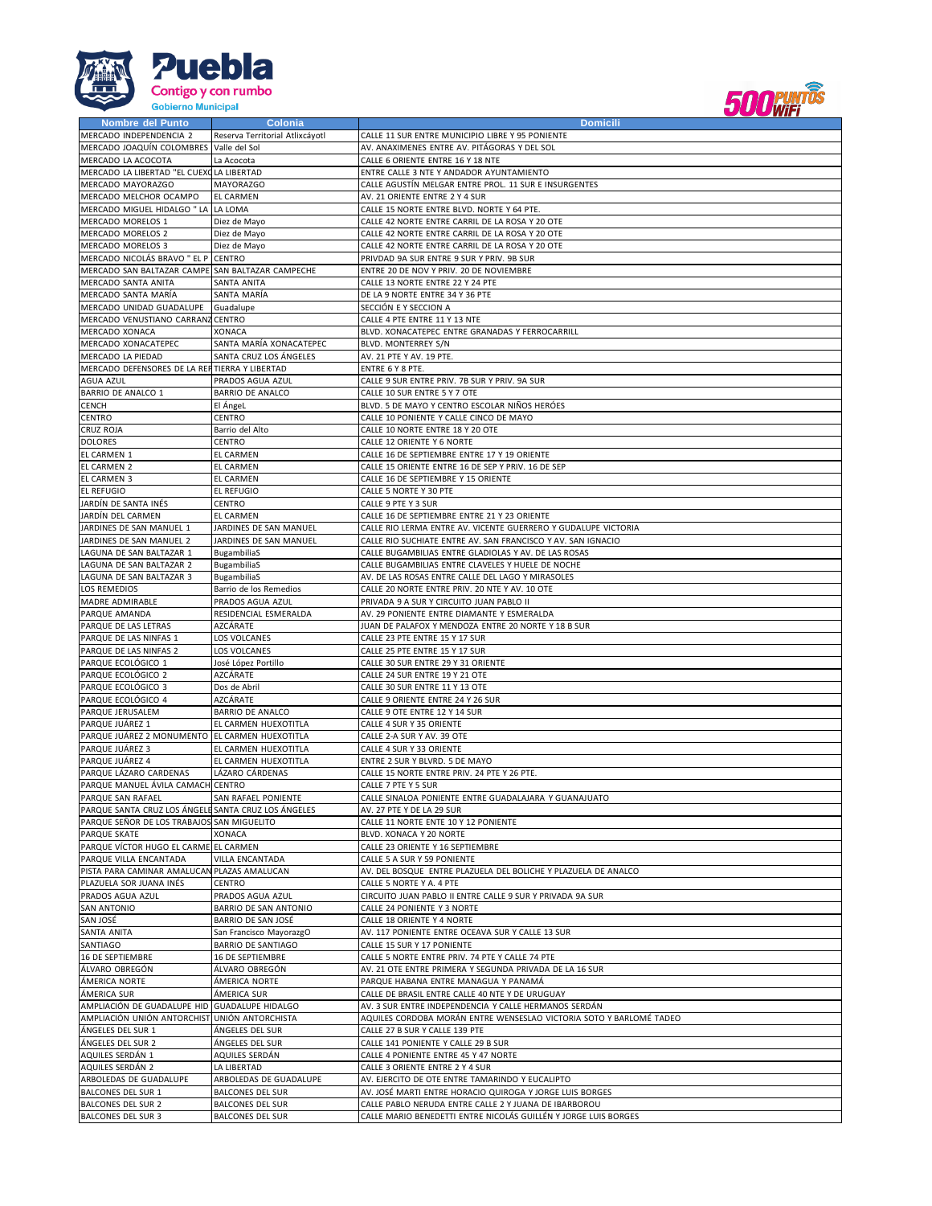



| <b>Nombre del Punto</b>                                     | Colonia                                              | <b>Domicili</b>                                                                                            |
|-------------------------------------------------------------|------------------------------------------------------|------------------------------------------------------------------------------------------------------------|
| MERCADO INDEPENDENCIA 2                                     | Reserva Territorial Atlixcáyotl                      | CALLE 11 SUR ENTRE MUNICIPIO LIBRE Y 95 PONIENTE                                                           |
| MERCADO JOAQUÍN COLOMBRES Valle del Sol                     |                                                      | AV. ANAXIMENES ENTRE AV. PITÁGORAS Y DEL SOL                                                               |
| MERCADO LA ACOCOTA                                          | La Acocota                                           | CALLE 6 ORIENTE ENTRE 16 Y 18 NTE                                                                          |
| MERCADO LA LIBERTAD "EL CUEXO LA LIBERTAD                   |                                                      | ENTRE CALLE 3 NTE Y ANDADOR AYUNTAMIENTO                                                                   |
| MERCADO MAYORAZGO                                           | <b>MAYORAZGO</b>                                     | CALLE AGUSTÍN MELGAR ENTRE PROL. 11 SUR E INSURGENTES                                                      |
| MERCADO MELCHOR OCAMPO                                      | <b>EL CARMEN</b>                                     | AV. 21 ORIENTE ENTRE 2 Y 4 SUR                                                                             |
| MERCADO MIGUEL HIDALGO " LA LA LOMA                         |                                                      | CALLE 15 NORTE ENTRE BLVD. NORTE Y 64 PTE.                                                                 |
| MERCADO MORELOS 1                                           | Diez de Mayo                                         | CALLE 42 NORTE ENTRE CARRIL DE LA ROSA Y 20 OTE                                                            |
| MERCADO MORELOS 2                                           | Diez de Mayo                                         | CALLE 42 NORTE ENTRE CARRIL DE LA ROSA Y 20 OTE                                                            |
| MERCADO MORELOS 3                                           | Diez de Mayo                                         | CALLE 42 NORTE ENTRE CARRIL DE LA ROSA Y 20 OTE                                                            |
| MERCADO NICOLÁS BRAVO " EL P                                | <b>CENTRO</b>                                        | PRIVDAD 9A SUR ENTRE 9 SUR Y PRIV. 9B SUR                                                                  |
| MERCADO SAN BALTAZAR CAMPE SAN BALTAZAR CAMPECHE            |                                                      | ENTRE 20 DE NOV Y PRIV. 20 DE NOVIEMBRE                                                                    |
| MERCADO SANTA ANITA                                         | SANTA ANITA                                          | CALLE 13 NORTE ENTRE 22 Y 24 PTE                                                                           |
| MERCADO SANTA MARÍA                                         | SANTA MARÍA                                          | DE LA 9 NORTE ENTRE 34 Y 36 PTE                                                                            |
| MERCADO UNIDAD GUADALUPE                                    | Guadalupe                                            | SECCIÓN E Y SECCION A                                                                                      |
| MERCADO VENUSTIANO CARRANZ                                  | CENTRO                                               | CALLE 4 PTE ENTRE 11 Y 13 NTE                                                                              |
| MERCADO XONACA                                              | XONACA                                               | BLVD. XONACATEPEC ENTRE GRANADAS Y FERROCARRILL                                                            |
| MERCADO XONACATEPEC                                         | SANTA MARÍA XONACATEPEC                              | BLVD. MONTERREY S/N                                                                                        |
| MERCADO LA PIEDAD                                           | SANTA CRUZ LOS ÁNGELES                               | AV. 21 PTE Y AV. 19 PTE.                                                                                   |
|                                                             |                                                      |                                                                                                            |
| MERCADO DEFENSORES DE LA REFITIERRA Y LIBERTAD<br>AGUA AZUL | PRADOS AGUA AZUL                                     | ENTRE 6 Y 8 PTE.                                                                                           |
|                                                             |                                                      | CALLE 9 SUR ENTRE PRIV. 7B SUR Y PRIV. 9A SUR                                                              |
| BARRIO DE ANALCO 1                                          | <b>BARRIO DE ANALCO</b>                              | CALLE 10 SUR ENTRE 5 Y 7 OTE                                                                               |
| CENCH                                                       | El ÁngeL                                             | BLVD. 5 DE MAYO Y CENTRO ESCOLAR NIÑOS HERÓES                                                              |
| CENTRO                                                      | CENTRO                                               | CALLE 10 PONIENTE Y CALLE CINCO DE MAYO                                                                    |
| CRUZ ROJA                                                   | Barrio del Alto                                      | CALLE 10 NORTE ENTRE 18 Y 20 OTE                                                                           |
| <b>DOLORES</b>                                              | CENTRO                                               | CALLE 12 ORIENTE Y 6 NORTE                                                                                 |
| EL CARMEN 1                                                 | EL CARMEN                                            | CALLE 16 DE SEPTIEMBRE ENTRE 17 Y 19 ORIENTE                                                               |
| EL CARMEN 2                                                 | EL CARMEN                                            | CALLE 15 ORIENTE ENTRE 16 DE SEP Y PRIV. 16 DE SEP                                                         |
| EL CARMEN 3                                                 | EL CARMEN                                            | CALLE 16 DE SEPTIEMBRE Y 15 ORIENTE                                                                        |
| <b>EL REFUGIO</b>                                           | EL REFUGIO                                           | CALLE 5 NORTE Y 30 PTE                                                                                     |
| JARDÍN DE SANTA INÉS                                        | CENTRO                                               | CALLE 9 PTE Y 3 SUR                                                                                        |
| JARDÍN DEL CARMEN                                           | <b>EL CARMEN</b>                                     | CALLE 16 DE SEPTIEMBRE ENTRE 21 Y 23 ORIENTE                                                               |
| JARDINES DE SAN MANUEL 1                                    | JARDINES DE SAN MANUEL                               | CALLE RIO LERMA ENTRE AV. VICENTE GUERRERO Y GUDALUPE VICTORIA                                             |
| JARDINES DE SAN MANUEL 2                                    | JARDINES DE SAN MANUEL                               | CALLE RIO SUCHIATE ENTRE AV. SAN FRANCISCO Y AV. SAN IGNACIO                                               |
| LAGUNA DE SAN BALTAZAR 1                                    | BugambiliaS                                          | CALLE BUGAMBILIAS ENTRE GLADIOLAS Y AV. DE LAS ROSAS                                                       |
| LAGUNA DE SAN BALTAZAR 2                                    | <b>BugambiliaS</b>                                   | CALLE BUGAMBILIAS ENTRE CLAVELES Y HUELE DE NOCHE                                                          |
| LAGUNA DE SAN BALTAZAR 3                                    | BugambiliaS                                          | AV. DE LAS ROSAS ENTRE CALLE DEL LAGO Y MIRASOLES                                                          |
| <b>LOS REMEDIOS</b>                                         | Barrio de los Remedios                               | CALLE 20 NORTE ENTRE PRIV. 20 NTE Y AV. 10 OTE                                                             |
| MADRE ADMIRABLE                                             | PRADOS AGUA AZUL                                     | PRIVADA 9 A SUR Y CIRCUITO JUAN PABLO II                                                                   |
| PARQUE AMANDA                                               | RESIDENCIAL ESMERALDA                                | AV. 29 PONIENTE ENTRE DIAMANTE Y ESMERALDA                                                                 |
| PARQUE DE LAS LETRAS                                        | AZCÁRATE                                             | JUAN DE PALAFOX Y MENDOZA ENTRE 20 NORTE Y 18 B SUR                                                        |
| PARQUE DE LAS NINFAS 1                                      | LOS VOLCANES                                         | CALLE 23 PTE ENTRE 15 Y 17 SUR                                                                             |
| PARQUE DE LAS NINFAS 2                                      | LOS VOLCANES                                         | CALLE 25 PTE ENTRE 15 Y 17 SUR                                                                             |
| PARQUE ECOLÓGICO 1                                          | José López Portillo                                  | CALLE 30 SUR ENTRE 29 Y 31 ORIENTE                                                                         |
| PARQUE ECOLÓGICO 2                                          | AZCÁRATE                                             | CALLE 24 SUR ENTRE 19 Y 21 OTE                                                                             |
| PARQUE ECOLÓGICO 3                                          | Dos de Abril                                         | CALLE 30 SUR ENTRE 11 Y 13 OTE                                                                             |
| PARQUE ECOLÓGICO 4                                          | AZCÁRATE                                             | CALLE 9 ORIENTE ENTRE 24 Y 26 SUR                                                                          |
| PARQUE JERUSALEM                                            | <b>BARRIO DE ANALCO</b>                              | CALLE 9 OTE ENTRE 12 Y 14 SUR                                                                              |
| PARQUE JUÁREZ 1                                             | EL CARMEN HUEXOTITLA                                 | CALLE 4 SUR Y 35 ORIENTE                                                                                   |
| PARQUE JUÁREZ 2 MONUMENTO EL CARMEN HUEXOTITLA              |                                                      | CALLE 2-A SUR Y AV. 39 OTE                                                                                 |
| PARQUE JUÁREZ 3                                             | EL CARMEN HUEXOTITLA                                 | CALLE 4 SUR Y 33 ORIENTE                                                                                   |
| PARQUE JUÁREZ 4                                             | EL CARMEN HUEXOTITLA                                 | ENTRE 2 SUR Y BLVRD. 5 DE MAYO                                                                             |
| PARQUE LÁZARO CARDENAS                                      | LÁZARO CÁRDENAS                                      | CALLE 15 NORTE ENTRE PRIV. 24 PTE Y 26 PTE.                                                                |
| PARQUE MANUEL ÁVILA CAMACH CENTRO                           |                                                      | CALLE 7 PTE Y 5 SUR                                                                                        |
| PARQUE SAN RAFAEL                                           | SAN RAFAEL PONIENTE                                  | CALLE SINALOA PONIENTE ENTRE GUADALAJARA Y GUANAJUATO                                                      |
| PARQUE SANTA CRUZ LOS ÁNGELE SANTA CRUZ LOS ÁNGELES         |                                                      | AV. 27 PTE Y DE LA 29 SUR                                                                                  |
| PARQUE SEÑOR DE LOS TRABAJOS SAN MIGUELITO                  |                                                      | CALLE 11 NORTE ENTE 10 Y 12 PONIENTE                                                                       |
| PARQUE SKATE                                                | XONACA                                               | BLVD. XONACA Y 20 NORTE                                                                                    |
| PARQUE VÍCTOR HUGO EL CARME EL CARMEN                       |                                                      | CALLE 23 ORIENTE Y 16 SEPTIEMBRE                                                                           |
| PARQUE VILLA ENCANTADA                                      | VILLA ENCANTADA                                      | CALLE 5 A SUR Y 59 PONIENTE                                                                                |
| PISTA PARA CAMINAR AMALUCAN PLAZAS AMALUCAN                 |                                                      | AV. DEL BOSQUE ENTRE PLAZUELA DEL BOLICHE Y PLAZUELA DE ANALCO                                             |
| PLAZUELA SOR JUANA INÉS                                     | CENTRO                                               | CALLE 5 NORTE Y A. 4 PTE                                                                                   |
| PRADOS AGUA AZUL                                            | PRADOS AGUA AZUL                                     | CIRCUITO JUAN PABLO II ENTRE CALLE 9 SUR Y PRIVADA 9A SUR                                                  |
| <b>SAN ANTONIO</b>                                          | BARRIO DE SAN ANTONIO                                | CALLE 24 PONIENTE Y 3 NORTE                                                                                |
| SAN JOSÉ                                                    | BARRIO DE SAN JOSÉ                                   | CALLE 18 ORIENTE Y 4 NORTE                                                                                 |
| SANTA ANITA                                                 |                                                      | AV. 117 PONIENTE ENTRE OCEAVA SUR Y CALLE 13 SUR                                                           |
| SANTIAGO                                                    | San Francisco MayorazgO<br><b>BARRIO DE SANTIAGO</b> | CALLE 15 SUR Y 17 PONIENTE                                                                                 |
|                                                             | 16 DE SEPTIEMBRE                                     |                                                                                                            |
| 16 DE SEPTIEMBRE<br>ÁLVARO OBREGÓN                          | ÁLVARO OBREGÓN                                       | CALLE 5 NORTE ENTRE PRIV. 74 PTE Y CALLE 74 PTE<br>AV. 21 OTE ENTRE PRIMERA Y SEGUNDA PRIVADA DE LA 16 SUR |
| ÁMERICA NORTE                                               |                                                      |                                                                                                            |
|                                                             | ÁMERICA NORTE                                        | PARQUE HABANA ENTRE MANAGUA Y PANAMÁ                                                                       |
| ÁMERICA SUR                                                 | ÁMERICA SUR                                          | CALLE DE BRASIL ENTRE CALLE 40 NTE Y DE URUGUAY                                                            |
| AMPLIACIÓN DE GUADALUPE HID GUADALUPE HIDALGO               |                                                      | AV. 3 SUR ENTRE INDEPENDENCIA Y CALLE HERMANOS SERDÁN                                                      |
| AMPLIACIÓN UNIÓN ANTORCHIST UNIÓN ANTORCHISTA               |                                                      | AQUILES CORDOBA MORÁN ENTRE WENSESLAO VICTORIA SOTO Y BARLOMÉ TADEO                                        |
| ÁNGELES DEL SUR 1                                           | ÁNGELES DEL SUR                                      | CALLE 27 B SUR Y CALLE 139 PTE                                                                             |
| ÁNGELES DEL SUR 2                                           | ÁNGELES DEL SUR                                      | CALLE 141 PONIENTE Y CALLE 29 B SUR                                                                        |
| AQUILES SERDÁN 1                                            | AQUILES SERDÁN                                       | CALLE 4 PONIENTE ENTRE 45 Y 47 NORTE                                                                       |
| AQUILES SERDÁN 2                                            | LA LIBERTAD                                          | CALLE 3 ORIENTE ENTRE 2 Y 4 SUR                                                                            |
| ARBOLEDAS DE GUADALUPE                                      | ARBOLEDAS DE GUADALUPE                               | AV. EJERCITO DE OTE ENTRE TAMARINDO Y EUCALIPTO                                                            |
| <b>BALCONES DEL SUR 1</b>                                   | <b>BALCONES DEL SUR</b>                              | AV. JOSÉ MARTI ENTRE HORACIO QUIROGA Y JORGE LUIS BORGES                                                   |
| <b>BALCONES DEL SUR 2</b>                                   | <b>BALCONES DEL SUR</b>                              | CALLE PABLO NERUDA ENTRE CALLE 2 Y JUANA DE IBARBOROU                                                      |
| <b>BALCONES DEL SUR 3</b>                                   | <b>BALCONES DEL SUR</b>                              | CALLE MARIO BENEDETTI ENTRE NICOLÁS GUILLÉN Y JORGE LUIS BORGES                                            |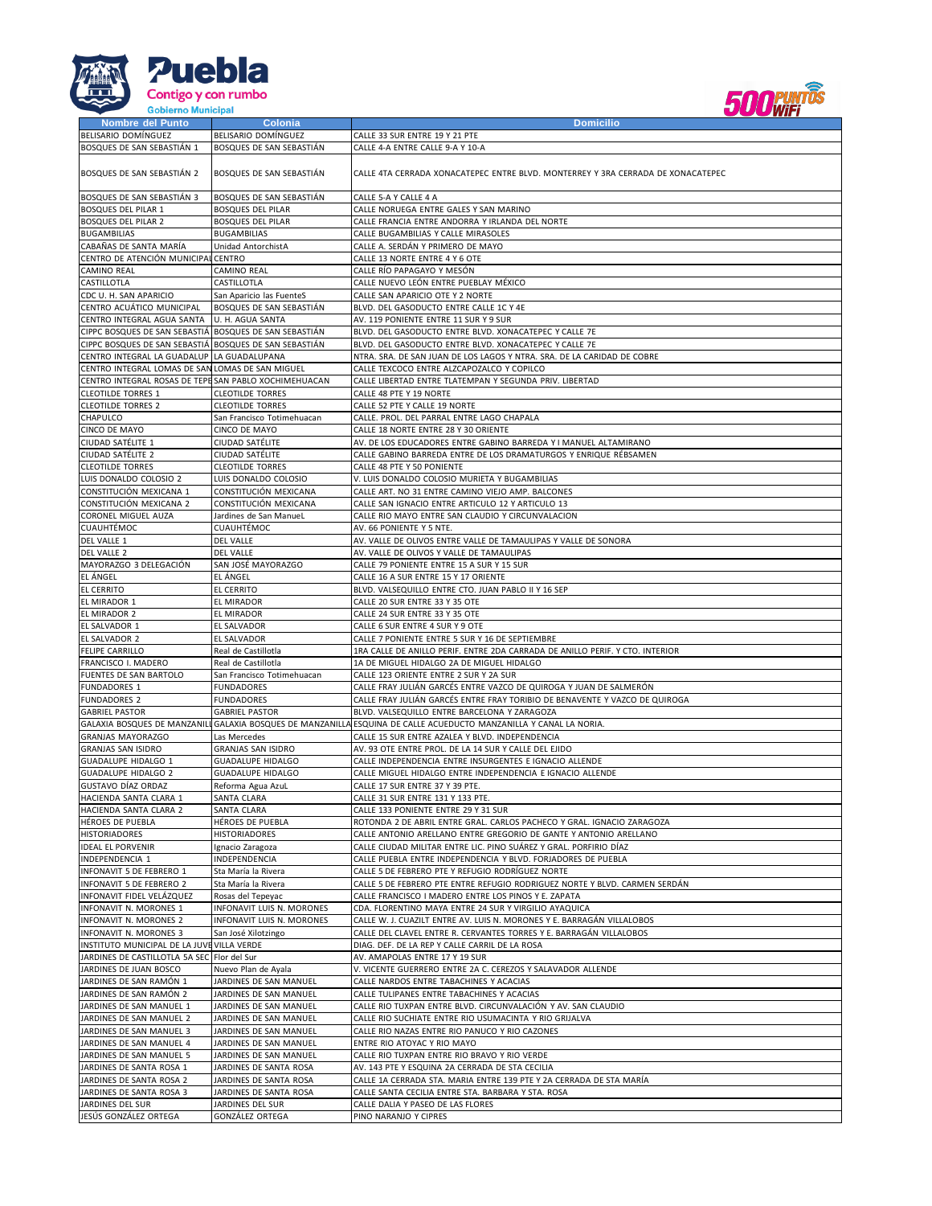



| <b>Nombre del Punto</b>                                | Colonia                    | <b>Domicilio</b>                                                                                                   |
|--------------------------------------------------------|----------------------------|--------------------------------------------------------------------------------------------------------------------|
| BELISARIO DOMÍNGUEZ                                    | BELISARIO DOMÍNGUEZ        | CALLE 33 SUR ENTRE 19 Y 21 PTE                                                                                     |
| BOSQUES DE SAN SEBASTIÁN 1                             | BOSQUES DE SAN SEBASTIÁN   | CALLE 4-A ENTRE CALLE 9-A Y 10-A                                                                                   |
|                                                        |                            |                                                                                                                    |
|                                                        |                            |                                                                                                                    |
| BOSQUES DE SAN SEBASTIÁN 2                             | BOSQUES DE SAN SEBASTIÁN   | CALLE 4TA CERRADA XONACATEPEC ENTRE BLVD. MONTERREY Y 3RA CERRADA DE XONACATEPEC                                   |
|                                                        |                            |                                                                                                                    |
| BOSQUES DE SAN SEBASTIÁN 3                             | BOSQUES DE SAN SEBASTIÁN   | CALLE 5-A Y CALLE 4 A                                                                                              |
|                                                        |                            |                                                                                                                    |
| <b>BOSQUES DEL PILAR 1</b>                             | <b>BOSQUES DEL PILAR</b>   | CALLE NORUEGA ENTRE GALES Y SAN MARINO                                                                             |
| <b>BOSQUES DEL PILAR 2</b>                             | <b>BOSQUES DEL PILAR</b>   | CALLE FRANCIA ENTRE ANDORRA Y IRLANDA DEL NORTE                                                                    |
| <b>BUGAMBILIAS</b>                                     | <b>BUGAMBILIAS</b>         | CALLE BUGAMBILIAS Y CALLE MIRASOLES                                                                                |
| CABAÑAS DE SANTA MARÍA                                 | Unidad AntorchistA         | CALLE A. SERDÁN Y PRIMERO DE MAYO                                                                                  |
| CENTRO DE ATENCIÓN MUNICIPAL CENTRO                    |                            | CALLE 13 NORTE ENTRE 4 Y 6 OTE                                                                                     |
|                                                        |                            |                                                                                                                    |
| CAMINO REAL                                            | CAMINO REAL                | CALLE RÍO PAPAGAYO Y MESÓN                                                                                         |
| CASTILLOTLA                                            | CASTILLOTLA                | CALLE NUEVO LEÓN ENTRE PUEBLAY MÉXICO                                                                              |
| CDC U. H. SAN APARICIO                                 | San Aparicio las FuenteS   | CALLE SAN APARICIO OTE Y 2 NORTE                                                                                   |
| CENTRO ACUÁTICO MUNICIPAL                              | BOSQUES DE SAN SEBASTIÁN   | BLVD. DEL GASODUCTO ENTRE CALLE 1C Y 4E                                                                            |
| CENTRO INTEGRAL AGUA SANTA                             | U. H. AGUA SANTA           | AV. 119 PONIENTE ENTRE 11 SUR Y 9 SUR                                                                              |
|                                                        |                            |                                                                                                                    |
| CIPPC BOSQUES DE SAN SEBASTIÁ BOSQUES DE SAN SEBASTIÁN |                            | BLVD. DEL GASODUCTO ENTRE BLVD. XONACATEPEC Y CALLE 7E                                                             |
| CIPPC BOSQUES DE SAN SEBASTIÁ BOSQUES DE SAN SEBASTIÁN |                            | BLVD. DEL GASODUCTO ENTRE BLVD. XONACATEPEC Y CALLE 7E                                                             |
| CENTRO INTEGRAL LA GUADALUP LA GUADALUPANA             |                            | NTRA. SRA. DE SAN JUAN DE LOS LAGOS Y NTRA. SRA. DE LA CARIDAD DE COBRE                                            |
| CENTRO INTEGRAL LOMAS DE SAN LOMAS DE SAN MIGUEL       |                            | CALLE TEXCOCO ENTRE ALZCAPOZALCO Y COPILCO                                                                         |
| CENTRO INTEGRAL ROSAS DE TEPE SAN PABLO XOCHIMEHUACAN  |                            | CALLE LIBERTAD ENTRE TLATEMPAN Y SEGUNDA PRIV. LIBERTAD                                                            |
|                                                        |                            |                                                                                                                    |
| <b>CLEOTILDE TORRES 1</b>                              | <b>CLEOTILDE TORRES</b>    | CALLE 48 PTE Y 19 NORTE                                                                                            |
| <b>CLEOTILDE TORRES 2</b>                              | <b>CLEOTILDE TORRES</b>    | CALLE 52 PTE Y CALLE 19 NORTE                                                                                      |
| CHAPULCO                                               | San Francisco Totimehuacan | CALLE. PROL. DEL PARRAL ENTRE LAGO CHAPALA                                                                         |
| CINCO DE MAYO                                          | CINCO DE MAYO              | CALLE 18 NORTE ENTRE 28 Y 30 ORIENTE                                                                               |
| CIUDAD SATÉLITE 1                                      | CIUDAD SATÉLITE            | AV. DE LOS EDUCADORES ENTRE GABINO BARREDA Y I MANUEL ALTAMIRANO                                                   |
|                                                        |                            |                                                                                                                    |
| CIUDAD SATÉLITE 2                                      | CIUDAD SATÉLITE            | CALLE GABINO BARREDA ENTRE DE LOS DRAMATURGOS Y ENRIQUE RÉBSAMEN                                                   |
| <b>CLEOTILDE TORRES</b>                                | <b>CLEOTILDE TORRES</b>    | CALLE 48 PTE Y 50 PONIENTE                                                                                         |
| LUIS DONALDO COLOSIO 2                                 | LUIS DONALDO COLOSIO       | V. LUIS DONALDO COLOSIO MURIETA Y BUGAMBILIAS                                                                      |
| CONSTITUCIÓN MEXICANA 1                                | CONSTITUCIÓN MEXICANA      | CALLE ART. NO 31 ENTRE CAMINO VIEJO AMP. BALCONES                                                                  |
| CONSTITUCIÓN MEXICANA 2                                | CONSTITUCIÓN MEXICANA      | CALLE SAN IGNACIO ENTRE ARTICULO 12 Y ARTICULO 13                                                                  |
|                                                        |                            |                                                                                                                    |
| CORONEL MIGUEL AUZA                                    | Jardines de San ManueL     | CALLE RIO MAYO ENTRE SAN CLAUDIO Y CIRCUNVALACION                                                                  |
| CUAUHTÉMOC                                             | CUAUHTÉMOC                 | AV. 66 PONIENTE Y 5 NTE.                                                                                           |
| DEL VALLE 1                                            | <b>DEL VALLE</b>           | AV. VALLE DE OLIVOS ENTRE VALLE DE TAMAULIPAS Y VALLE DE SONORA                                                    |
| <b>DEL VALLE 2</b>                                     | <b>DEL VALLE</b>           | AV. VALLE DE OLIVOS Y VALLE DE TAMAULIPAS                                                                          |
|                                                        |                            |                                                                                                                    |
| MAYORAZGO 3 DELEGACIÓN                                 | SAN JOSÉ MAYORAZGO         | CALLE 79 PONIENTE ENTRE 15 A SUR Y 15 SUR                                                                          |
| EL ÁNGEL                                               | EL ÁNGEL                   | CALLE 16 A SUR ENTRE 15 Y 17 ORIENTE                                                                               |
| <b>EL CERRITO</b>                                      | <b>EL CERRITO</b>          | BLVD. VALSEQUILLO ENTRE CTO. JUAN PABLO II Y 16 SEP                                                                |
| EL MIRADOR 1                                           | EL MIRADOR                 | CALLE 20 SUR ENTRE 33 Y 35 OTE                                                                                     |
| EL MIRADOR 2                                           | EL MIRADOR                 | CALLE 24 SUR ENTRE 33 Y 35 OTE                                                                                     |
|                                                        |                            |                                                                                                                    |
| EL SALVADOR 1                                          | EL SALVADOR                | CALLE 6 SUR ENTRE 4 SUR Y 9 OTE                                                                                    |
| EL SALVADOR 2                                          | EL SALVADOR                | CALLE 7 PONIENTE ENTRE 5 SUR Y 16 DE SEPTIEMBRE                                                                    |
| <b>FELIPE CARRILLO</b>                                 | Real de Castillotla        | 1RA CALLE DE ANILLO PERIF. ENTRE 2DA CARRADA DE ANILLO PERIF. Y CTO. INTERIOR                                      |
| FRANCISCO I. MADERO                                    | Real de Castillotla        | 1A DE MIGUEL HIDALGO 2A DE MIGUEL HIDALGO                                                                          |
| FUENTES DE SAN BARTOLO                                 |                            | CALLE 123 ORIENTE ENTRE 2 SUR Y 2A SUR                                                                             |
|                                                        | San Francisco Totimehuacan |                                                                                                                    |
| <b>FUNDADORES 1</b>                                    | <b>FUNDADORES</b>          | CALLE FRAY JULIÁN GARCÉS ENTRE VAZCO DE QUIROGA Y JUAN DE SALMERÓN                                                 |
| <b>FUNDADORES 2</b>                                    | <b>FUNDADORES</b>          | CALLE FRAY JULIÁN GARCÉS ENTRE FRAY TORIBIO DE BENAVENTE Y VAZCO DE QUIROGA                                        |
| <b>GABRIEL PASTOR</b>                                  | <b>GABRIEL PASTOR</b>      | BLVD. VALSEQUILLO ENTRE BARCELONA Y ZARAGOZA                                                                       |
|                                                        |                            | GALAXIA BOSQUES DE MANZANILI GALAXIA BOSQUES DE MANZANILLA ESQUINA DE CALLE ACUEDUCTO MANZANILLA Y CANAL LA NORIA. |
| <b>GRANJAS MAYORAZGO</b>                               | Las Mercedes               | CALLE 15 SUR ENTRE AZALEA Y BLVD. INDEPENDENCIA                                                                    |
|                                                        |                            |                                                                                                                    |
| <b>GRANJAS SAN ISIDRO</b>                              | <b>GRANJAS SAN ISIDRO</b>  | AV. 93 OTE ENTRE PROL. DE LA 14 SUR Y CALLE DEL EJIDO                                                              |
| <b>GUADALUPE HIDALGO 1</b>                             | <b>GUADALUPE HIDALGO</b>   | CALLE INDEPENDENCIA ENTRE INSURGENTES E IGNACIO ALLENDE                                                            |
| <b>GUADALUPE HIDALGO 2</b>                             | <b>GUADALUPE HIDALGO</b>   | CALLE MIGUEL HIDALGO ENTRE INDEPENDENCIA E IGNACIO ALLENDE                                                         |
| <b>GUSTAVO DÍAZ ORDAZ</b>                              | Reforma Agua AzuL          | CALLE 17 SUR ENTRE 37 Y 39 PTE.                                                                                    |
| HACIENDA SANTA CLARA 1                                 | SANTA CLARA                | CALLE 31 SUR ENTRE 131 Y 133 PTE.                                                                                  |
|                                                        |                            |                                                                                                                    |
| HACIENDA SANTA CLARA 2                                 | SANTA CLARA                | CALLE 133 PONIENTE ENTRE 29 Y 31 SUR                                                                               |
| HÉROES DE PUEBLA                                       | HÉROES DE PUEBLA           | ROTONDA 2 DE ABRIL ENTRE GRAL. CARLOS PACHECO Y GRAL. IGNACIO ZARAGOZA                                             |
| <b>HISTORIADORES</b>                                   | <b>HISTORIADORES</b>       | CALLE ANTONIO ARELLANO ENTRE GREGORIO DE GANTE Y ANTONIO ARELLANO                                                  |
| <b>IDEAL EL PORVENIR</b>                               | Ignacio Zaragoza           | CALLE CIUDAD MILITAR ENTRE LIC. PINO SUÁREZ Y GRAL. PORFIRIO DÍAZ                                                  |
| INDEPENDENCIA 1                                        | INDEPENDENCIA              | CALLE PUEBLA ENTRE INDEPENDENCIA Y BLVD. FORJADORES DE PUEBLA                                                      |
|                                                        |                            |                                                                                                                    |
| INFONAVIT 5 DE FEBRERO 1                               | Sta María la Rivera        | CALLE 5 DE FEBRERO PTE Y REFUGIO RODRÍGUEZ NORTE                                                                   |
| INFONAVIT 5 DE FEBRERO 2                               | Sta María la Rivera        | CALLE 5 DE FEBRERO PTE ENTRE REFUGIO RODRIGUEZ NORTE Y BLVD. CARMEN SERDÁN                                         |
| INFONAVIT FIDEL VELÁZQUEZ                              | Rosas del Tepeyac          | CALLE FRANCISCO I MADERO ENTRE LOS PINOS Y E. ZAPATA                                                               |
| INFONAVIT N. MORONES 1                                 | INFONAVIT LUIS N. MORONES  | CDA. FLORENTINO MAYA ENTRE 24 SUR Y VIRGILIO AYAQUICA                                                              |
| INFONAVIT N. MORONES 2                                 | INFONAVIT LUIS N. MORONES  | CALLE W. J. CUAZILT ENTRE AV. LUIS N. MORONES Y E. BARRAGÁN VILLALOBOS                                             |
| INFONAVIT N. MORONES 3                                 |                            |                                                                                                                    |
|                                                        | San José Xilotzingo        | CALLE DEL CLAVEL ENTRE R. CERVANTES TORRES Y E. BARRAGÁN VILLALOBOS                                                |
| INSTITUTO MUNICIPAL DE LA JUVE VILLA VERDE             |                            | DIAG. DEF. DE LA REP Y CALLE CARRIL DE LA ROSA                                                                     |
| JARDINES DE CASTILLOTLA 5A SEC Flor del Sur            |                            | AV. AMAPOLAS ENTRE 17 Y 19 SUR                                                                                     |
| JARDINES DE JUAN BOSCO                                 | Nuevo Plan de Ayala        | V. VICENTE GUERRERO ENTRE 2A C. CEREZOS Y SALAVADOR ALLENDE                                                        |
| JARDINES DE SAN RAMÓN 1                                | JARDINES DE SAN MANUEL     | CALLE NARDOS ENTRE TABACHINES Y ACACIAS                                                                            |
|                                                        |                            |                                                                                                                    |
| JARDINES DE SAN RAMÓN 2                                | JARDINES DE SAN MANUEL     | CALLE TULIPANES ENTRE TABACHINES Y ACACIAS                                                                         |
| JARDINES DE SAN MANUEL 1                               | JARDINES DE SAN MANUEL     | CALLE RIO TUXPAN ENTRE BLVD. CIRCUNVALACIÓN Y AV. SAN CLAUDIO                                                      |
| JARDINES DE SAN MANUEL 2                               | JARDINES DE SAN MANUEL     | CALLE RIO SUCHIATE ENTRE RIO USUMACINTA Y RIO GRIJALVA                                                             |
| JARDINES DE SAN MANUEL 3                               | JARDINES DE SAN MANUEL     | CALLE RIO NAZAS ENTRE RIO PANUCO Y RIO CAZONES                                                                     |
| JARDINES DE SAN MANUEL 4                               | JARDINES DE SAN MANUEL     | ENTRE RIO ATOYAC Y RIO MAYO                                                                                        |
|                                                        |                            |                                                                                                                    |
| JARDINES DE SAN MANUEL 5                               | JARDINES DE SAN MANUEL     | CALLE RIO TUXPAN ENTRE RIO BRAVO Y RIO VERDE                                                                       |
| JARDINES DE SANTA ROSA 1                               | JARDINES DE SANTA ROSA     | AV. 143 PTE Y ESQUINA 2A CERRADA DE STA CECILIA                                                                    |
| JARDINES DE SANTA ROSA 2                               | JARDINES DE SANTA ROSA     | CALLE 1A CERRADA STA. MARIA ENTRE 139 PTE Y 2A CERRADA DE STA MARÍA                                                |
| JARDINES DE SANTA ROSA 3                               | JARDINES DE SANTA ROSA     | CALLE SANTA CECILIA ENTRE STA. BARBARA Y STA. ROSA                                                                 |
| JARDINES DEL SUR                                       | JARDINES DEL SUR           | CALLE DALIA Y PASEO DE LAS FLORES                                                                                  |
|                                                        |                            |                                                                                                                    |
| JESÚS GONZÁLEZ ORTEGA                                  | GONZÁLEZ ORTEGA            | PINO NARANJO Y CIPRES                                                                                              |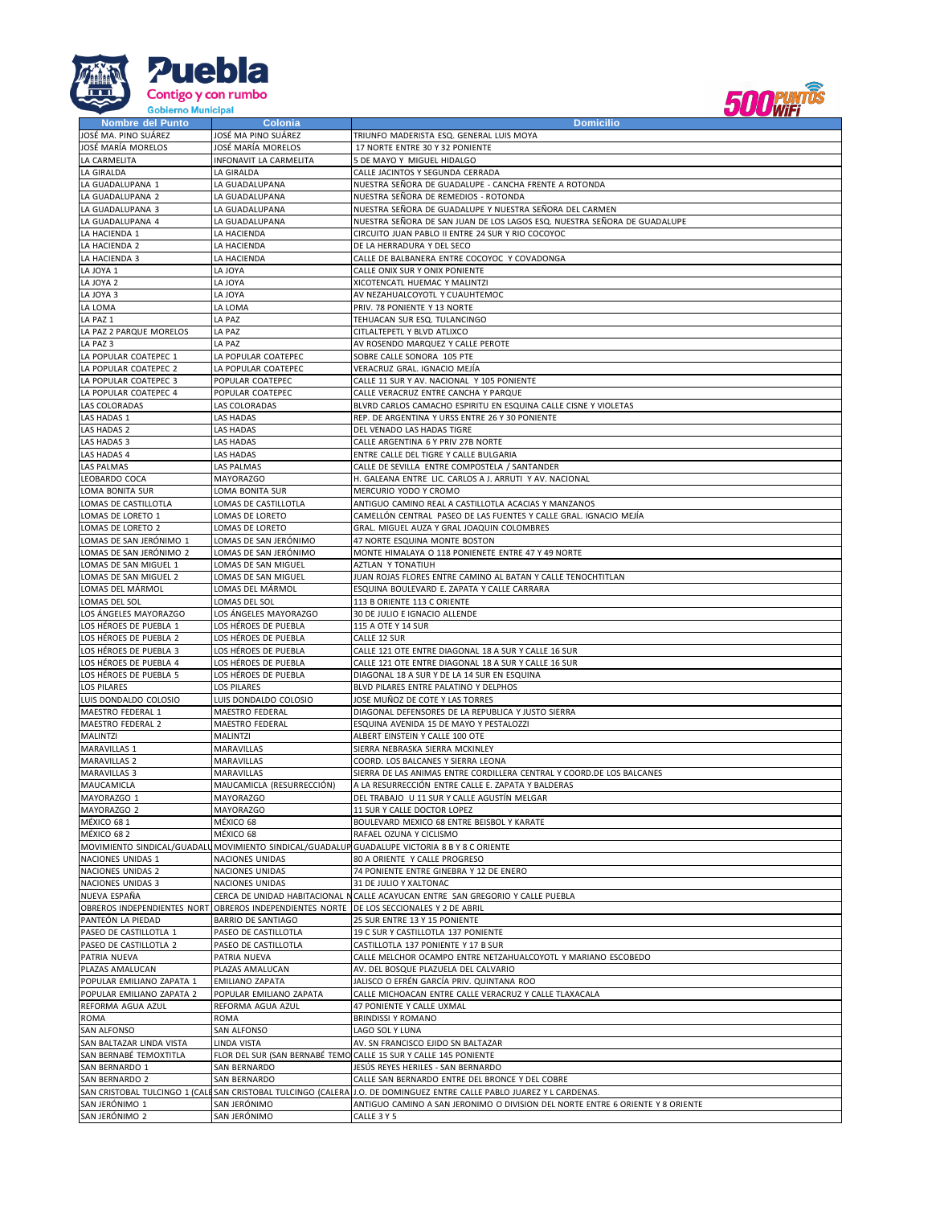



| Nombre del Punto            | Colonia                      | <b>Domicilio</b>                                                                                                      |
|-----------------------------|------------------------------|-----------------------------------------------------------------------------------------------------------------------|
| JOSÉ MA. PINO SUÁREZ        | JOSÉ MA PINO SUÁREZ          | TRIUNFO MADERISTA ESQ. GENERAL LUIS MOYA                                                                              |
| JOSÉ MARÍA MORELOS          | JOSÉ MARÍA MORELOS           | 17 NORTE ENTRE 30 Y 32 PONIENTE                                                                                       |
| LA CARMELITA                | INFONAVIT LA CARMELITA       | 5 DE MAYO Y MIGUEL HIDALGO                                                                                            |
| LA GIRALDA                  | LA GIRALDA                   | CALLE JACINTOS Y SEGUNDA CERRADA                                                                                      |
|                             |                              |                                                                                                                       |
| LA GUADALUPANA 1            | LA GUADALUPANA               | NUESTRA SEÑORA DE GUADALUPE - CANCHA FRENTE A ROTONDA                                                                 |
| LA GUADALUPANA 2            | LA GUADALUPANA               | NUESTRA SEÑORA DE REMEDIOS - ROTONDA                                                                                  |
| LA GUADALUPANA 3            | LA GUADALUPANA               | NUESTRA SEÑORA DE GUADALUPE Y NUESTRA SEÑORA DEL CARMEN                                                               |
| LA GUADALUPANA 4            | LA GUADALUPANA               | NUESTRA SEÑORA DE SAN JUAN DE LOS LAGOS ESQ. NUESTRA SEÑORA DE GUADALUPE                                              |
| LA HACIENDA 1               | LA HACIENDA                  | CIRCUITO JUAN PABLO II ENTRE 24 SUR Y RIO COCOYOC                                                                     |
| LA HACIENDA 2               | LA HACIENDA                  | DE LA HERRADURA Y DEL SECO                                                                                            |
| LA HACIENDA 3               | LA HACIENDA                  | CALLE DE BALBANERA ENTRE COCOYOC Y COVADONGA                                                                          |
| LA JOYA 1                   | LA JOYA                      | CALLE ONIX SUR Y ONIX PONIENTE                                                                                        |
| LA JOYA 2                   | LA JOYA                      | XICOTENCATL HUEMAC Y MALINTZI                                                                                         |
| LA JOYA 3                   | LA JOYA                      | AV NEZAHUALCOYOTL Y CUAUHTEMOC                                                                                        |
| LA LOMA                     | LA LOMA                      | PRIV. 78 PONIENTE Y 13 NORTE                                                                                          |
|                             |                              |                                                                                                                       |
| LA PAZ 1                    | LA PAZ                       | TEHUACAN SUR ESQ. TULANCINGO                                                                                          |
| LA PAZ 2 PARQUE MORELOS     | LA PAZ                       | CITLALTEPETL Y BLVD ATLIXCO                                                                                           |
| LA PAZ 3                    | LA PAZ                       | AV ROSENDO MARQUEZ Y CALLE PEROTE                                                                                     |
| LA POPULAR COATEPEC 1       | LA POPULAR COATEPEC          | SOBRE CALLE SONORA 105 PTE                                                                                            |
| LA POPULAR COATEPEC 2       | LA POPULAR COATEPEC          | VERACRUZ GRAL. IGNACIO MEJÍA                                                                                          |
| LA POPULAR COATEPEC 3       | POPULAR COATEPEC             | CALLE 11 SUR Y AV. NACIONAL Y 105 PONIENTE                                                                            |
| LA POPULAR COATEPEC 4       | POPULAR COATEPEC             | CALLE VERACRUZ ENTRE CANCHA Y PARQUE                                                                                  |
| LAS COLORADAS               | LAS COLORADAS                | BLVRD CARLOS CAMACHO ESPIRITU EN ESQUINA CALLE CISNE Y VIOLETAS                                                       |
| LAS HADAS 1                 | LAS HADAS                    | REP. DE ARGENTINA Y URSS ENTRE 26 Y 30 PONIENTE                                                                       |
| LAS HADAS 2                 |                              |                                                                                                                       |
|                             | LAS HADAS                    | DEL VENADO LAS HADAS TIGRE                                                                                            |
| LAS HADAS 3                 | <b>LAS HADAS</b>             | CALLE ARGENTINA 6 Y PRIV 27B NORTE                                                                                    |
| LAS HADAS 4                 | <b>LAS HADAS</b>             | ENTRE CALLE DEL TIGRE Y CALLE BULGARIA                                                                                |
| LAS PALMAS                  | LAS PALMAS                   | CALLE DE SEVILLA ENTRE COMPOSTELA / SANTANDER                                                                         |
| LEOBARDO COCA               | <b>MAYORAZGO</b>             | H. GALEANA ENTRE LIC. CARLOS A J. ARRUTI Y AV. NACIONAL                                                               |
| LOMA BONITA SUR             | LOMA BONITA SUR              | MERCURIO YODO Y CROMO                                                                                                 |
| LOMAS DE CASTILLOTLA        | LOMAS DE CASTILLOTLA         | ANTIGUO CAMINO REAL A CASTILLOTLA ACACIAS Y MANZANOS                                                                  |
| LOMAS DE LORETO 1           | LOMAS DE LORETO              | CAMELLÓN CENTRAL  PASEO DE LAS FUENTES Y CALLE GRAL. IGNACIO MEJÍA                                                    |
| LOMAS DE LORETO 2           | LOMAS DE LORETO              | GRAL. MIGUEL AUZA Y GRAL JOAQUIN COLOMBRES                                                                            |
| LOMAS DE SAN JERÓNIMO 1     | LOMAS DE SAN JERÓNIMO        | 47 NORTE ESQUINA MONTE BOSTON                                                                                         |
| LOMAS DE SAN JERÓNIMO 2     | LOMAS DE SAN JERÓNIMO        |                                                                                                                       |
|                             |                              | MONTE HIMALAYA O 118 PONIENETE ENTRE 47 Y 49 NORTE                                                                    |
| LOMAS DE SAN MIGUEL 1       | LOMAS DE SAN MIGUEL          | AZTLAN Y TONATIUH                                                                                                     |
| LOMAS DE SAN MIGUEL 2       | LOMAS DE SAN MIGUEL          | JUAN ROJAS FLORES ENTRE CAMINO AL BATAN Y CALLE TENOCHTITLAN                                                          |
| LOMAS DEL MÁRMOL            | LOMAS DEL MÁRMOL             | ESQUINA BOULEVARD E. ZAPATA Y CALLE CARRARA                                                                           |
| LOMAS DEL SOL               | LOMAS DEL SOL                | 113 B ORIENTE 113 C ORIENTE                                                                                           |
| LOS ANGELES MAYORAZGO       | LOS ÁNGELES MAYORAZGO        | 30 DE JULIO E IGNACIO ALLENDE                                                                                         |
| LOS HÉROES DE PUEBLA 1      | LOS HÉROES DE PUEBLA         | 115 A OTE Y 14 SUR                                                                                                    |
| LOS HÉROES DE PUEBLA 2      | LOS HÉROES DE PUEBLA         | CALLE 12 SUR                                                                                                          |
| LOS HÉROES DE PUEBLA 3      | LOS HÉROES DE PUEBLA         | CALLE 121 OTE ENTRE DIAGONAL 18 A SUR Y CALLE 16 SUR                                                                  |
| LOS HÉROES DE PUEBLA 4      | LOS HÉROES DE PUEBLA         | CALLE 121 OTE ENTRE DIAGONAL 18 A SUR Y CALLE 16 SUR                                                                  |
| LOS HÉROES DE PUEBLA 5      | LOS HÉROES DE PUEBLA         | DIAGONAL 18 A SUR Y DE LA 14 SUR EN ESQUINA                                                                           |
|                             |                              |                                                                                                                       |
| <b>LOS PILARES</b>          | <b>LOS PILARES</b>           | BLVD PILARES ENTRE PALATINO Y DELPHOS                                                                                 |
| LUIS DONDALDO COLOSIO       | LUIS DONDALDO COLOSIO        | JOSE MUÑOZ DE COTE Y LAS TORRES                                                                                       |
| MAESTRO FEDERAL 1           | MAESTRO FEDERAL              | DIAGONAL DEFENSORES DE LA REPUBLICA Y JUSTO SIERRA                                                                    |
| MAESTRO FEDERAL 2           | MAESTRO FEDERAL              | ESQUINA AVENIDA 15 DE MAYO Y PESTALOZZI                                                                               |
| <b>MALINTZI</b>             | <b>MALINTZI</b>              | ALBERT EINSTEIN Y CALLE 100 OTE                                                                                       |
| MARAVILLAS 1                | MARAVILLAS                   | SIERRA NEBRASKA SIERRA MCKINLEY                                                                                       |
| <b>MARAVILLAS 2</b>         | MARAVILLAS                   | COORD. LOS BALCANES Y SIERRA LEONA                                                                                    |
| <b>MARAVILLAS 3</b>         | MARAVILLAS                   | SIERRA DE LAS ANIMAS ENTRE CORDILLERA CENTRAL Y COORD.DE LOS BALCANES                                                 |
| MAUCAMICLA                  | MAUCAMICLA (RESURRECCIÓN)    | A LA RESURRECCIÓN ENTRE CALLE E. ZAPATA Y BALDERAS                                                                    |
| MAYORAZGO 1                 | <b>MAYORAZGO</b>             | DEL TRABAJO U 11 SUR Y CALLE AGUSTÍN MELGAR                                                                           |
| MAYORAZGO 2                 |                              | 11 SUR Y CALLE DOCTOR LOPEZ                                                                                           |
|                             | <b>MAYORAZGO</b>             |                                                                                                                       |
| MÉXICO 681                  | MÉXICO 68                    | BOULEVARD MEXICO 68 ENTRE BEISBOL Y KARATE                                                                            |
| MÉXICO 682                  | MÉXICO 68                    | RAFAEL OZUNA Y CICLISMO                                                                                               |
|                             |                              | MOVIMIENTO SINDICAL/GUADALU MOVIMIENTO SINDICAL/GUADALUP GUADALUPE VICTORIA 8 B Y 8 C ORIENTE                         |
| NACIONES UNIDAS 1           | NACIONES UNIDAS              | 80 A ORIENTE Y CALLE PROGRESO                                                                                         |
| NACIONES UNIDAS 2           | NACIONES UNIDAS              | 74 PONIENTE ENTRE GINEBRA Y 12 DE ENERO                                                                               |
| NACIONES UNIDAS 3           | NACIONES UNIDAS              | 31 DE JULIO Y XALTONAC                                                                                                |
| NUEVA ESPAÑA                |                              | CERCA DE UNIDAD HABITACIONAL NCALLE ACAYUCAN ENTRE SAN GREGORIO Y CALLE PUEBLA                                        |
| OBREROS INDEPENDIENTES NORT | OBREROS INDEPENDIENTES NORTE | DE LOS SECCIONALES Y 2 DE ABRIL                                                                                       |
| PANTEÓN LA PIEDAD           | <b>BARRIO DE SANTIAGO</b>    | 25 SUR ENTRE 13 Y 15 PONIENTE                                                                                         |
| PASEO DE CASTILLOTLA 1      | PASEO DE CASTILLOTLA         | 19 C SUR Y CASTILLOTLA 137 PONIENTE                                                                                   |
| PASEO DE CASTILLOTLA 2      | PASEO DE CASTILLOTLA         |                                                                                                                       |
|                             |                              | CASTILLOTLA 137 PONIENTE Y 17 B SUR                                                                                   |
| PATRIA NUEVA                | PATRIA NUEVA                 | CALLE MELCHOR OCAMPO ENTRE NETZAHUALCOYOTL Y MARIANO ESCOBEDO                                                         |
| PLAZAS AMALUCAN             | PLAZAS AMALUCAN              | AV. DEL BOSQUE PLAZUELA DEL CALVARIO                                                                                  |
| POPULAR EMILIANO ZAPATA 1   | <b>EMILIANO ZAPATA</b>       | JALISCO O EFRÉN GARCÍA PRIV. QUINTANA ROO                                                                             |
| POPULAR EMILIANO ZAPATA 2   | POPULAR EMILIANO ZAPATA      | CALLE MICHOACAN ENTRE CALLE VERACRUZ Y CALLE TLAXACALA                                                                |
| REFORMA AGUA AZUL           | REFORMA AGUA AZUL            | 47 PONIENTE Y CALLE UXMAL                                                                                             |
| ROMA                        | <b>ROMA</b>                  | <b>BRINDISSI Y ROMANO</b>                                                                                             |
| SAN ALFONSO                 | SAN ALFONSO                  | LAGO SOL Y LUNA                                                                                                       |
| SAN BALTAZAR LINDA VISTA    | LINDA VISTA                  | AV. SN FRANCISCO EJIDO SN BALTAZAR                                                                                    |
| SAN BERNABÉ TEMOXTITLA      |                              | FLOR DEL SUR (SAN BERNABÉ TEMO CALLE 15 SUR Y CALLE 145 PONIENTE                                                      |
|                             |                              |                                                                                                                       |
| SAN BERNARDO 1              | SAN BERNARDO                 | JESÚS REYES HERILES - SAN BERNARDO                                                                                    |
| SAN BERNARDO 2              | SAN BERNARDO                 | CALLE SAN BERNARDO ENTRE DEL BRONCE Y DEL COBRE                                                                       |
|                             |                              | SAN CRISTOBAL TULCINGO 1 (CALESAN CRISTOBAL TULCINGO (CALERA J.O. DE DOMINGUEZ ENTRE CALLE PABLO JUAREZ Y L CARDENAS. |
| SAN JERÓNIMO 1              | SAN JERÓNIMO                 | ANTIGUO CAMINO A SAN JERONIMO O DIVISION DEL NORTE ENTRE 6 ORIENTE Y 8 ORIENTE                                        |
| SAN JERÓNIMO 2              | SAN JERÓNIMO                 | CALLE 3 Y 5                                                                                                           |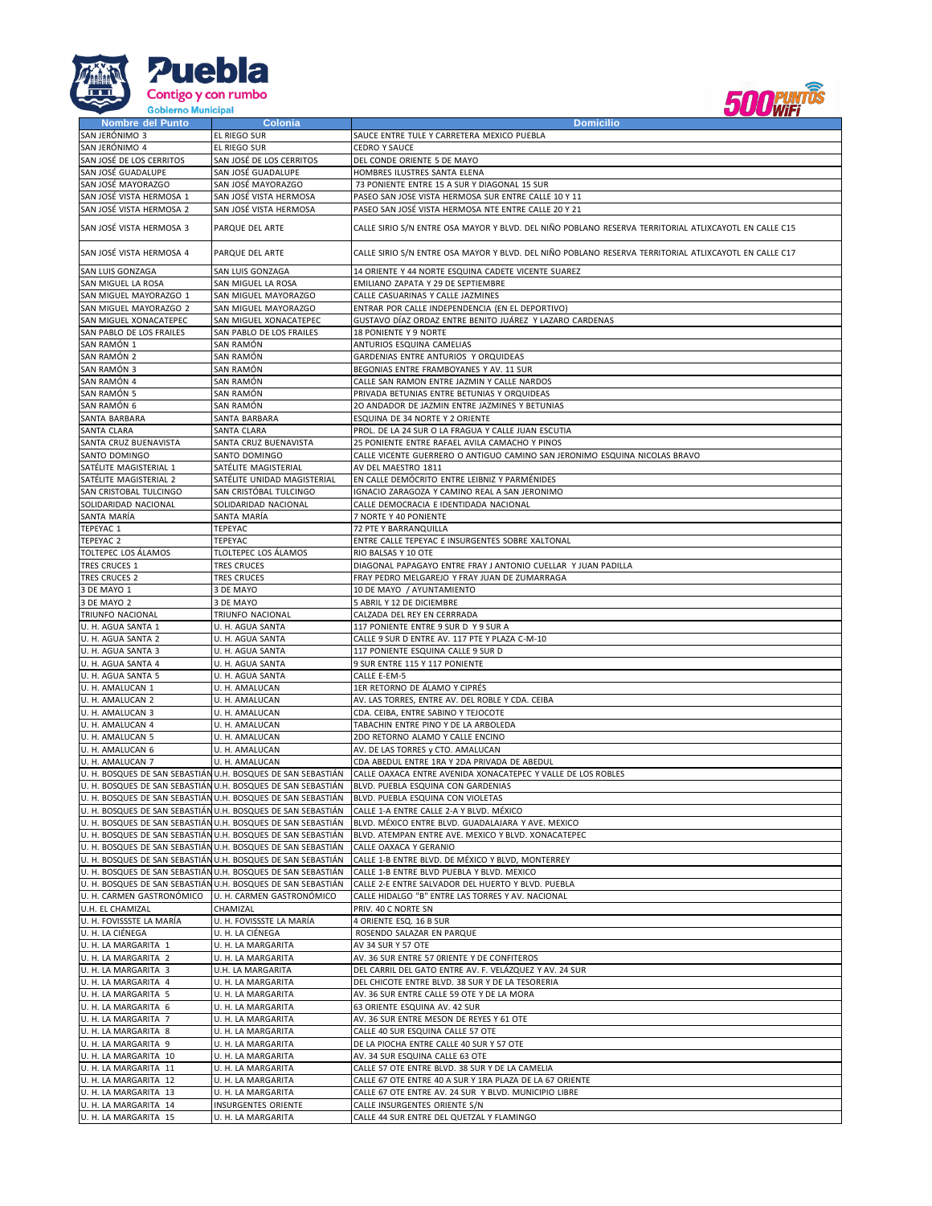



| Nombre del Punto                               | <b>Colonia</b>                                               | <b>Domicilio</b>                                                                                      |
|------------------------------------------------|--------------------------------------------------------------|-------------------------------------------------------------------------------------------------------|
| SAN JERÓNIMO 3                                 | EL RIEGO SUR                                                 | SAUCE ENTRE TULE Y CARRETERA MEXICO PUEBLA                                                            |
|                                                |                                                              | <b>CEDRO Y SAUCE</b>                                                                                  |
| SAN JERÓNIMO 4                                 | EL RIEGO SUR                                                 |                                                                                                       |
| SAN JOSÉ DE LOS CERRITOS                       | SAN JOSÉ DE LOS CERRITOS                                     | DEL CONDE ORIENTE 5 DE MAYO                                                                           |
| SAN JOSÉ GUADALUPE                             | SAN JOSÉ GUADALUPE                                           | HOMBRES ILUSTRES SANTA ELENA                                                                          |
| SAN JOSÉ MAYORAZGO                             | SAN JOSÉ MAYORAZGO                                           | 73 PONIENTE ENTRE 15 A SUR Y DIAGONAL 15 SUR                                                          |
| SAN JOSÉ VISTA HERMOSA 1                       | SAN JOSÉ VISTA HERMOSA                                       | PASEO SAN JOSE VISTA HERMOSA SUR ENTRE CALLE 10 Y 11                                                  |
|                                                |                                                              |                                                                                                       |
| SAN JOSÉ VISTA HERMOSA 2                       | SAN JOSÉ VISTA HERMOSA                                       | PASEO SAN JOSÉ VISTA HERMOSA NTE ENTRE CALLE 20 Y 21                                                  |
|                                                |                                                              |                                                                                                       |
| SAN JOSÉ VISTA HERMOSA 3                       | PARQUE DEL ARTE                                              | CALLE SIRIO S/N ENTRE OSA MAYOR Y BLVD. DEL NIÑO POBLANO RESERVA TERRITORIAL ATLIXCAYOTL EN CALLE C15 |
|                                                |                                                              |                                                                                                       |
| SAN JOSÉ VISTA HERMOSA 4                       | PARQUE DEL ARTE                                              | CALLE SIRIO S/N ENTRE OSA MAYOR Y BLVD. DEL NIÑO POBLANO RESERVA TERRITORIAL ATLIXCAYOTL EN CALLE C17 |
|                                                |                                                              |                                                                                                       |
| SAN LUIS GONZAGA                               | SAN LUIS GONZAGA                                             | 14 ORIENTE Y 44 NORTE ESQUINA CADETE VICENTE SUAREZ                                                   |
| SAN MIGUEL LA ROSA                             | SAN MIGUEL LA ROSA                                           | EMILIANO ZAPATA Y 29 DE SEPTIEMBRE                                                                    |
| SAN MIGUEL MAYORAZGO 1                         | SAN MIGUEL MAYORAZGO                                         | CALLE CASUARINAS Y CALLE JAZMINES                                                                     |
| SAN MIGUEL MAYORAZGO 2                         | SAN MIGUEL MAYORAZGO                                         | ENTRAR POR CALLE INDEPENDENCIA (EN EL DEPORTIVO)                                                      |
|                                                |                                                              |                                                                                                       |
| SAN MIGUEL XONACATEPEC                         | SAN MIGUEL XONACATEPEC                                       | GUSTAVO DÍAZ ORDAZ ENTRE BENITO JUÁREZ Y LAZARO CARDENAS                                              |
| SAN PABLO DE LOS FRAILES                       | SAN PABLO DE LOS FRAILES                                     | 18 PONIENTE Y 9 NORTE                                                                                 |
| SAN RAMÓN 1                                    | SAN RAMÓN                                                    | ANTURIOS ESQUINA CAMELIAS                                                                             |
| SAN RAMÓN 2                                    | SAN RAMÓN                                                    | GARDENIAS ENTRE ANTURIOS Y ORQUIDEAS                                                                  |
| SAN RAMÓN 3                                    | SAN RAMÓN                                                    | BEGONIAS ENTRE FRAMBOYANES Y AV. 11 SUR                                                               |
|                                                |                                                              |                                                                                                       |
| SAN RAMÓN 4                                    | SAN RAMÓN                                                    | CALLE SAN RAMON ENTRE JAZMIN Y CALLE NARDOS                                                           |
| SAN RAMÓN 5                                    | SAN RAMÓN                                                    | PRIVADA BETUNIAS ENTRE BETUNIAS Y ORQUIDEAS                                                           |
| SAN RAMÓN 6                                    | SAN RAMÓN                                                    | 20 ANDADOR DE JAZMIN ENTRE JAZMINES Y BETUNIAS                                                        |
| SANTA BARBARA                                  | SANTA BARBARA                                                | ESQUINA DE 34 NORTE Y 2 ORIENTE                                                                       |
| SANTA CLARA                                    | SANTA CLARA                                                  | PROL. DE LA 24 SUR O LA FRAGUA Y CALLE JUAN ESCUTIA                                                   |
|                                                |                                                              |                                                                                                       |
| SANTA CRUZ BUENAVISTA                          | SANTA CRUZ BUENAVISTA                                        | 25 PONIENTE ENTRE RAFAEL AVILA CAMACHO Y PINOS                                                        |
| SANTO DOMINGO                                  | SANTO DOMINGO                                                | CALLE VICENTE GUERRERO O ANTIGUO CAMINO SAN JERONIMO ESQUINA NICOLAS BRAVO                            |
| SATÉLITE MAGISTERIAL 1                         | SATÉLITE MAGISTERIAL                                         | AV DEL MAESTRO 1811                                                                                   |
| SATÉLITE MAGISTERIAL 2                         | SATÉLITE UNIDAD MAGISTERIAL                                  | EN CALLE DEMÓCRITO ENTRE LEIBNIZ Y PARMÉNIDES                                                         |
|                                                |                                                              |                                                                                                       |
| SAN CRISTOBAL TULCINGO                         | SAN CRISTÓBAL TULCINGO                                       | IGNACIO ZARAGOZA Y CAMINO REAL A SAN JERONIMO                                                         |
| SOLIDARIDAD NACIONAL                           | SOLIDARIDAD NACIONAL                                         | CALLE DEMOCRACIA E IDENTIDADA NACIONAL                                                                |
| SANTA MARÍA                                    | SANTA MARÍA                                                  | 7 NORTE Y 40 PONIENTE                                                                                 |
| TEPEYAC 1                                      | TEPEYAC                                                      | 72 PTE Y BARRANQUILLA                                                                                 |
| TEPEYAC 2                                      | TEPEYAC                                                      | ENTRE CALLE TEPEYAC E INSURGENTES SOBRE XALTONAL                                                      |
| TOLTEPEC LOS ÁLAMOS                            | TLOLTEPEC LOS ÁLAMOS                                         | RIO BALSAS Y 10 OTE                                                                                   |
|                                                |                                                              |                                                                                                       |
| <b>TRES CRUCES 1</b>                           | <b>TRES CRUCES</b>                                           | DIAGONAL PAPAGAYO ENTRE FRAY J ANTONIO CUELLAR Y JUAN PADILLA                                         |
| <b>TRES CRUCES 2</b>                           | <b>TRES CRUCES</b>                                           | FRAY PEDRO MELGAREJO Y FRAY JUAN DE ZUMARRAGA                                                         |
| 3 DE MAYO 1                                    | 3 DE MAYO                                                    | 10 DE MAYO / AYUNTAMIENTO                                                                             |
| 3 DE MAYO 2                                    | 3 DE MAYO                                                    | 5 ABRIL Y 12 DE DICIEMBRE                                                                             |
|                                                |                                                              |                                                                                                       |
| TRIUNFO NACIONAL                               | TRIUNFO NACIONAL                                             | CALZADA DEL REY EN CERRRADA                                                                           |
| U. H. AGUA SANTA 1                             | U. H. AGUA SANTA                                             | 117 PONIENTE ENTRE 9 SUR D Y 9 SUR A                                                                  |
| U. H. AGUA SANTA 2                             | U. H. AGUA SANTA                                             | CALLE 9 SUR D ENTRE AV. 117 PTE Y PLAZA C-M-10                                                        |
| U. H. AGUA SANTA 3                             | U. H. AGUA SANTA                                             | 117 PONIENTE ESQUINA CALLE 9 SUR D                                                                    |
| U. H. AGUA SANTA 4                             | U. H. AGUA SANTA                                             | 9 SUR ENTRE 115 Y 117 PONIENTE                                                                        |
|                                                |                                                              |                                                                                                       |
| U. H. AGUA SANTA 5                             | U. H. AGUA SANTA                                             | CALLE E-EM-5                                                                                          |
| U. H. AMALUCAN 1                               | U. H. AMALUCAN                                               | 1ER RETORNO DE ÁLAMO Y CIPRÉS                                                                         |
| U. H. AMALUCAN 2                               | U. H. AMALUCAN                                               | AV. LAS TORRES, ENTRE AV. DEL ROBLE Y CDA. CEIBA                                                      |
| U. H. AMALUCAN 3                               | U. H. AMALUCAN                                               | CDA. CEIBA, ENTRE SABINO Y TEJOCOTE                                                                   |
| U. H. AMALUCAN 4                               | U. H. AMALUCAN                                               | TABACHIN ENTRE PINO Y DE LA ARBOLEDA                                                                  |
|                                                |                                                              |                                                                                                       |
| U. H. AMALUCAN 5                               | U. H. AMALUCAN                                               | 2DO RETORNO ALAMO Y CALLE ENCINO                                                                      |
| U. H. AMALUCAN 6                               | U. H. AMALUCAN                                               | AV. DE LAS TORRES y CTO. AMALUCAN                                                                     |
| U. H. AMALUCAN 7                               | U. H. AMALUCAN                                               | CDA ABEDUL ENTRE 1RA Y 2DA PRIVADA DE ABEDUL                                                          |
|                                                | U. H. BOSQUES DE SAN SEBASTIÁN U.H. BOSQUES DE SAN SEBASTIÁN | CALLE OAXACA ENTRE AVENIDA XONACATEPEC Y VALLE DE LOS ROBLES                                          |
|                                                | U. H. BOSQUES DE SAN SEBASTIÁN U.H. BOSQUES DE SAN SEBASTIÁN | BLVD. PUEBLA ESQUINA CON GARDENIAS                                                                    |
|                                                | U. H. BOSQUES DE SAN SEBASTIÁN U.H. BOSQUES DE SAN SEBASTIÁN |                                                                                                       |
|                                                |                                                              | BLVD. PUEBLA ESQUINA CON VIOLETAS                                                                     |
|                                                | U. H. BOSQUES DE SAN SEBASTIÁN U.H. BOSQUES DE SAN SEBASTIÁN | CALLE 1-A ENTRE CALLE 2-A Y BLVD. MÉXICO                                                              |
|                                                | U. H. BOSQUES DE SAN SEBASTIÁN U.H. BOSQUES DE SAN SEBASTIÁN | BLVD. MÉXICO ENTRE BLVD. GUADALAJARA Y AVE. MEXICO                                                    |
|                                                | U. H. BOSQUES DE SAN SEBASTIÁN U.H. BOSQUES DE SAN SEBASTIÁN | BLVD. ATEMPAN ENTRE AVE. MEXICO Y BLVD. XONACATEPEC                                                   |
|                                                | U. H. BOSQUES DE SAN SEBASTIÁN U.H. BOSQUES DE SAN SEBASTIÁN | CALLE OAXACA Y GERANIO                                                                                |
|                                                |                                                              | CALLE 1-B ENTRE BLVD. DE MÉXICO Y BLVD, MONTERREY                                                     |
|                                                |                                                              |                                                                                                       |
|                                                | U. H. BOSQUES DE SAN SEBASTIÁN U.H. BOSQUES DE SAN SEBASTIÁN |                                                                                                       |
|                                                | U. H. BOSQUES DE SAN SEBASTIÁN U.H. BOSQUES DE SAN SEBASTIÁN | CALLE 1-B ENTRE BLVD PUEBLA Y BLVD. MEXICO                                                            |
|                                                | U. H. BOSQUES DE SAN SEBASTIÁN U.H. BOSQUES DE SAN SEBASTIÁN | CALLE 2-E ENTRE SALVADOR DEL HUERTO Y BLVD. PUEBLA                                                    |
| U. H. CARMEN GASTRONÓMICO                      | U. H. CARMEN GASTRONÓMICO                                    | CALLE HIDALGO "B" ENTRE LAS TORRES Y AV. NACIONAL                                                     |
|                                                |                                                              | PRIV. 40 C NORTE SN                                                                                   |
| U.H. EL CHAMIZAL                               | CHAMIZAL                                                     |                                                                                                       |
| U. H. FOVISSSTE LA MARÍA                       | U. H. FOVISSSTE LA MARÍA                                     | 4 ORIENTE ESQ. 16 B SUR                                                                               |
| U. H. LA CIÉNEGA                               | U. H. LA CIÉNEGA                                             | ROSENDO SALAZAR EN PARQUE                                                                             |
| U. H. LA MARGARITA 1                           | U. H. LA MARGARITA                                           | AV 34 SUR Y 57 OTE                                                                                    |
| U. H. LA MARGARITA 2                           | U. H. LA MARGARITA                                           | AV. 36 SUR ENTRE 57 ORIENTE Y DE CONFITEROS                                                           |
|                                                |                                                              | DEL CARRIL DEL GATO ENTRE AV. F. VELÁZQUEZ Y AV. 24 SUR                                               |
| U. H. LA MARGARITA 3                           | U.H. LA MARGARITA                                            |                                                                                                       |
| U. H. LA MARGARITA 4                           | U. H. LA MARGARITA                                           | DEL CHICOTE ENTRE BLVD. 38 SUR Y DE LA TESORERIA                                                      |
| U. H. LA MARGARITA 5                           | U. H. LA MARGARITA                                           | AV. 36 SUR ENTRE CALLE 59 OTE Y DE LA MORA                                                            |
| U. H. LA MARGARITA 6                           | U. H. LA MARGARITA                                           | 63 ORIENTE ESQUINA AV. 42 SUR                                                                         |
| U. H. LA MARGARITA 7                           | U. H. LA MARGARITA                                           | AV. 36 SUR ENTRE MESON DE REYES Y 61 OTE                                                              |
|                                                |                                                              |                                                                                                       |
| U. H. LA MARGARITA 8                           | U. H. LA MARGARITA                                           | CALLE 40 SUR ESQUINA CALLE 57 OTE                                                                     |
| U. H. LA MARGARITA 9                           | U. H. LA MARGARITA                                           | DE LA PIOCHA ENTRE CALLE 40 SUR Y 57 OTE                                                              |
| U. H. LA MARGARITA 10                          | U. H. LA MARGARITA                                           | AV. 34 SUR ESQUINA CALLE 63 OTE                                                                       |
| U. H. LA MARGARITA 11                          | U. H. LA MARGARITA                                           | CALLE 57 OTE ENTRE BLVD. 38 SUR Y DE LA CAMELIA                                                       |
|                                                |                                                              |                                                                                                       |
| U. H. LA MARGARITA 12                          | U. H. LA MARGARITA                                           | CALLE 67 OTE ENTRE 40 A SUR Y 1RA PLAZA DE LA 67 ORIENTE                                              |
| U. H. LA MARGARITA 13                          | U. H. LA MARGARITA                                           | CALLE 67 OTE ENTRE AV. 24 SUR Y BLVD. MUNICIPIO LIBRE                                                 |
| U. H. LA MARGARITA 14<br>U. H. LA MARGARITA 15 | INSURGENTES ORIENTE<br>U. H. LA MARGARITA                    | CALLE INSURGENTES ORIENTE S/N<br>CALLE 44 SUR ENTRE DEL QUETZAL Y FLAMINGO                            |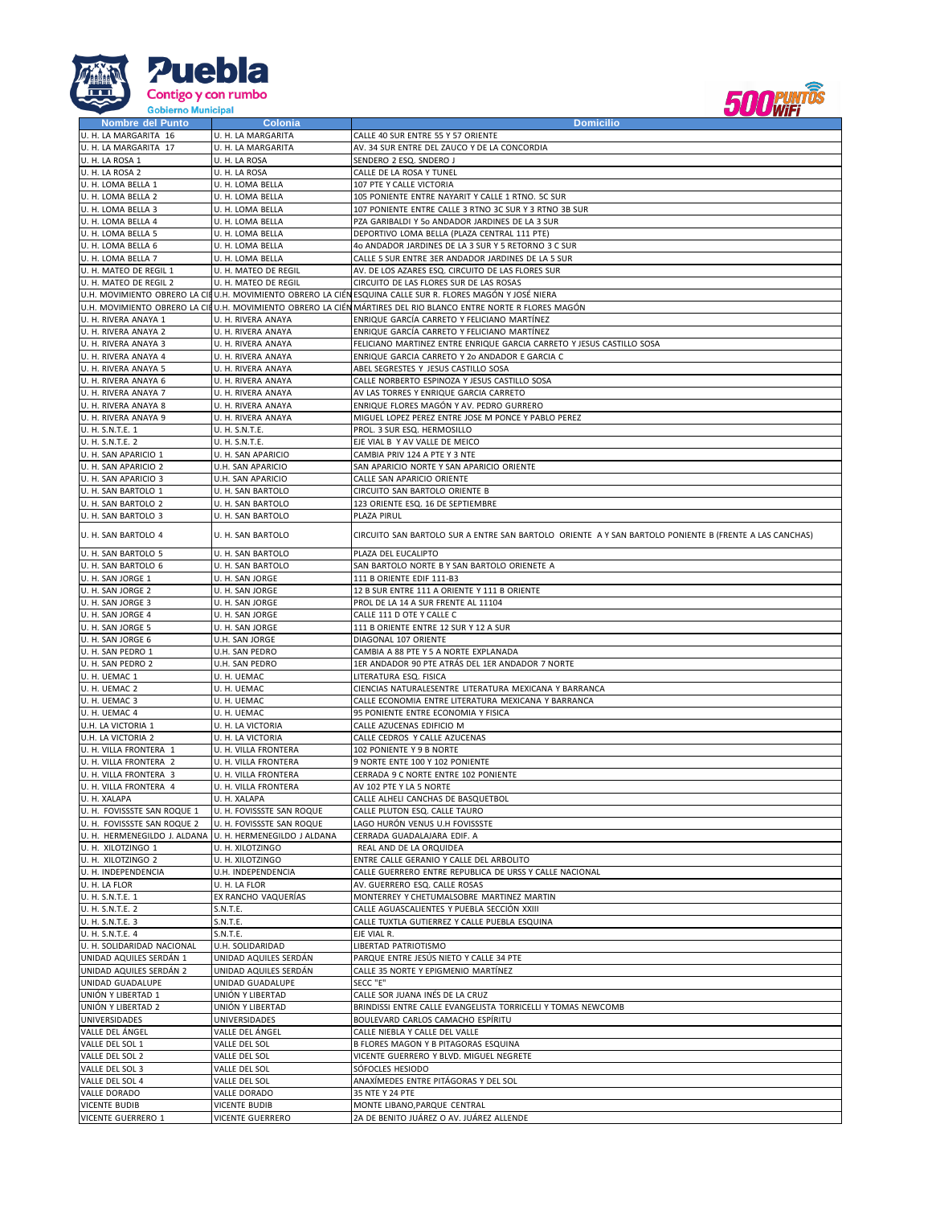



| Nombre del Punto                                         | Colonia                   | <b>Domicilio</b>                                                                                               |
|----------------------------------------------------------|---------------------------|----------------------------------------------------------------------------------------------------------------|
| U. H. LA MARGARITA 16                                    | U. H. LA MARGARITA        | CALLE 40 SUR ENTRE 55 Y 57 ORIENTE                                                                             |
| U. H. LA MARGARITA 17                                    | U. H. LA MARGARITA        | AV. 34 SUR ENTRE DEL ZAUCO Y DE LA CONCORDIA                                                                   |
|                                                          |                           |                                                                                                                |
| U. H. LA ROSA 1                                          | U. H. LA ROSA             | SENDERO 2 ESQ. SNDERO J                                                                                        |
| U. H. LA ROSA 2                                          | U. H. LA ROSA             | CALLE DE LA ROSA Y TUNEL                                                                                       |
| U. H. LOMA BELLA 1                                       | U. H. LOMA BELLA          | 107 PTE Y CALLE VICTORIA                                                                                       |
| U. H. LOMA BELLA 2                                       | U. H. LOMA BELLA          | 105 PONIENTE ENTRE NAYARIT Y CALLE 1 RTNO. 5C SUR                                                              |
| U. H. LOMA BELLA 3                                       | U. H. LOMA BELLA          | 107 PONIENTE ENTRE CALLE 3 RTNO 3C SUR Y 3 RTNO 3B SUR                                                         |
| U. H. LOMA BELLA 4                                       | U. H. LOMA BELLA          | PZA GARIBALDI Y 50 ANDADOR JARDINES DE LA 3 SUR                                                                |
| U. H. LOMA BELLA 5                                       | U. H. LOMA BELLA          | DEPORTIVO LOMA BELLA (PLAZA CENTRAL 111 PTE)                                                                   |
|                                                          |                           |                                                                                                                |
| U. H. LOMA BELLA 6                                       | U. H. LOMA BELLA          | 40 ANDADOR JARDINES DE LA 3 SUR Y 5 RETORNO 3 C SUR                                                            |
| U. H. LOMA BELLA 7                                       | U. H. LOMA BELLA          | CALLE 5 SUR ENTRE 3ER ANDADOR JARDINES DE LA 5 SUR                                                             |
| U. H. MATEO DE REGIL 1                                   | U. H. MATEO DE REGIL      | AV. DE LOS AZARES ESQ. CIRCUITO DE LAS FLORES SUR                                                              |
| U. H. MATEO DE REGIL 2                                   | U. H. MATEO DE REGIL      | CIRCUITO DE LAS FLORES SUR DE LAS ROSAS                                                                        |
|                                                          |                           | U.H. MOVIMIENTO OBRERO LA CILU.H. MOVIMIENTO OBRERO LA CIÉN ESQUINA CALLE SUR R. FLORES MAGÓN Y JOSÉ NIERA     |
|                                                          |                           | U.H. MOVIMIENTO OBRERO LA CILU.H. MOVIMIENTO OBRERO LA CIÉN MÁRTIRES DEL RIO BLANCO ENTRE NORTE R FLORES MAGÓN |
| U. H. RIVERA ANAYA 1                                     | U. H. RIVERA ANAYA        | ENRIQUE GARCÍA CARRETO Y FELICIANO MARTÍNEZ                                                                    |
|                                                          |                           |                                                                                                                |
| U. H. RIVERA ANAYA 2                                     | U. H. RIVERA ANAYA        | ENRIQUE GARCÍA CARRETO Y FELICIANO MARTÍNEZ                                                                    |
| U. H. RIVERA ANAYA 3                                     | U. H. RIVERA ANAYA        | FELICIANO MARTINEZ ENTRE ENRIQUE GARCIA CARRETO Y JESUS CASTILLO SOSA                                          |
| U. H. RIVERA ANAYA 4                                     | U. H. RIVERA ANAYA        | ENRIQUE GARCIA CARRETO Y 20 ANDADOR E GARCIA C                                                                 |
| U. H. RIVERA ANAYA 5                                     | U. H. RIVERA ANAYA        | ABEL SEGRESTES Y JESUS CASTILLO SOSA                                                                           |
| U. H. RIVERA ANAYA 6                                     | U. H. RIVERA ANAYA        | CALLE NORBERTO ESPINOZA Y JESUS CASTILLO SOSA                                                                  |
| U. H. RIVERA ANAYA 7                                     | U. H. RIVERA ANAYA        | AV LAS TORRES Y ENRIQUE GARCIA CARRETO                                                                         |
| U. H. RIVERA ANAYA 8                                     | U. H. RIVERA ANAYA        | ENRIQUE FLORES MAGÓN Y AV. PEDRO GURRERO                                                                       |
|                                                          |                           |                                                                                                                |
| U. H. RIVERA ANAYA 9                                     | U. H. RIVERA ANAYA        | MIGUEL LOPEZ PEREZ ENTRE JOSE M PONCE Y PABLO PEREZ                                                            |
| U. H. S.N.T.E. 1                                         | U. H. S.N.T.E.            | PROL. 3 SUR ESQ. HERMOSILLO                                                                                    |
| U. H. S.N.T.E. 2                                         | U. H. S.N.T.E.            | EJE VIAL B Y AV VALLE DE MEICO                                                                                 |
| U. H. SAN APARICIO 1                                     | U. H. SAN APARICIO        | CAMBIA PRIV 124 A PTE Y 3 NTE                                                                                  |
| U. H. SAN APARICIO 2                                     | U.H. SAN APARICIO         | SAN APARICIO NORTE Y SAN APARICIO ORIENTE                                                                      |
| U. H. SAN APARICIO 3                                     | U.H. SAN APARICIO         | CALLE SAN APARICIO ORIENTE                                                                                     |
| U. H. SAN BARTOLO 1                                      | U. H. SAN BARTOLO         | CIRCUITO SAN BARTOLO ORIENTE B                                                                                 |
|                                                          |                           | 123 ORIENTE ESQ. 16 DE SEPTIEMBRE                                                                              |
| U. H. SAN BARTOLO 2                                      | U. H. SAN BARTOLO         |                                                                                                                |
| U. H. SAN BARTOLO 3                                      | U. H. SAN BARTOLO         | PLAZA PIRUL                                                                                                    |
| U. H. SAN BARTOLO 4                                      | U. H. SAN BARTOLO         | CIRCUITO SAN BARTOLO SUR A ENTRE SAN BARTOLO ORIENTE A Y SAN BARTOLO PONIENTE B (FRENTE A LAS CANCHAS)         |
|                                                          |                           |                                                                                                                |
| U. H. SAN BARTOLO 5                                      | U. H. SAN BARTOLO         | PLAZA DEL EUCALIPTO                                                                                            |
| U. H. SAN BARTOLO 6                                      | U. H. SAN BARTOLO         | SAN BARTOLO NORTE B Y SAN BARTOLO ORIENETE A                                                                   |
| U. H. SAN JORGE 1                                        | U. H. SAN JORGE           | 111 B ORIENTE EDIF 111-B3                                                                                      |
| U. H. SAN JORGE 2                                        | U. H. SAN JORGE           | 12 B SUR ENTRE 111 A ORIENTE Y 111 B ORIENTE                                                                   |
|                                                          |                           | PROL DE LA 14 A SUR FRENTE AL 11104                                                                            |
| U. H. SAN JORGE 3                                        | U. H. SAN JORGE           |                                                                                                                |
| U. H. SAN JORGE 4                                        | U. H. SAN JORGE           | CALLE 111 D OTE Y CALLE C                                                                                      |
| U. H. SAN JORGE 5                                        | U. H. SAN JORGE           | 111 B ORIENTE ENTRE 12 SUR Y 12 A SUR                                                                          |
| U. H. SAN JORGE 6                                        | U.H. SAN JORGE            | DIAGONAL 107 ORIENTE                                                                                           |
| U. H. SAN PEDRO 1                                        | U.H. SAN PEDRO            | CAMBIA A 88 PTE Y 5 A NORTE EXPLANADA                                                                          |
| U. H. SAN PEDRO 2                                        | U.H. SAN PEDRO            | 1ER ANDADOR 90 PTE ATRÁS DEL 1ER ANDADOR 7 NORTE                                                               |
| U. H. UEMAC 1                                            | U. H. UEMAC               | LITERATURA ESQ. FISICA                                                                                         |
| U. H. UEMAC 2                                            | U. H. UEMAC               | CIENCIAS NATURALESENTRE LITERATURA MEXICANA Y BARRANCA                                                         |
| U. H. UEMAC 3                                            | U. H. UEMAC               | CALLE ECONOMIA ENTRE LITERATURA MEXICANA Y BARRANCA                                                            |
| U. H. UEMAC 4                                            | U. H. UEMAC               | 95 PONIENTE ENTRE ECONOMIA Y FISICA                                                                            |
| U.H. LA VICTORIA 1                                       | U. H. LA VICTORIA         | CALLE AZUCENAS EDIFICIO M                                                                                      |
| U.H. LA VICTORIA 2                                       | U. H. LA VICTORIA         | CALLE CEDROS Y CALLE AZUCENAS                                                                                  |
|                                                          |                           |                                                                                                                |
| U. H. VILLA FRONTERA 1                                   | U. H. VILLA FRONTERA      | 102 PONIENTE Y 9 B NORTE                                                                                       |
| U. H. VILLA FRONTERA 2                                   | U. H. VILLA FRONTERA      | 9 NORTE ENTE 100 Y 102 PONIENTE                                                                                |
| U. H. VILLA FRONTERA 3                                   | U. H. VILLA FRONTERA      | CERRADA 9 C NORTE ENTRE 102 PONIENTE                                                                           |
| U. H. VILLA FRONTERA 4                                   | U. H. VILLA FRONTERA      | AV 102 PTE Y LA 5 NORTE                                                                                        |
| U. H. XALAPA                                             | U. H. XALAPA              | CALLE ALHELI CANCHAS DE BASQUETBOL                                                                             |
| U. H. FOVISSSTE SAN ROQUE 1                              | U. H. FOVISSSTE SAN ROQUE | CALLE PLUTON ESQ. CALLE TAURO                                                                                  |
| U. H. FOVISSSTE SAN ROQUE 2                              | U. H. FOVISSSTE SAN ROQUE | LAGO HURÓN VENUS U.H FOVISSSTE                                                                                 |
| U. H. HERMENEGILDO J. ALDANA U. H. HERMENEGILDO J ALDANA |                           | CERRADA GUADALAJARA EDIF. A                                                                                    |
| U. H. XILOTZINGO 1                                       | U. H. XILOTZINGO          | REAL AND DE LA ORQUIDEA                                                                                        |
| U. H. XILOTZINGO 2                                       | U. H. XILOTZINGO          | ENTRE CALLE GERANIO Y CALLE DEL ARBOLITO                                                                       |
| U. H. INDEPENDENCIA                                      | U.H. INDEPENDENCIA        | CALLE GUERRERO ENTRE REPUBLICA DE URSS Y CALLE NACIONAL                                                        |
|                                                          |                           |                                                                                                                |
| U. H. LA FLOR                                            | U. H. LA FLOR             | AV. GUERRERO ESQ. CALLE ROSAS                                                                                  |
| U. H. S.N.T.E. 1                                         | EX RANCHO VAQUERÍAS       | MONTERREY Y CHETUMALSOBRE MARTINEZ MARTIN                                                                      |
| U. H. S.N.T.E. 2                                         | S.N.T.E.                  | CALLE AGUASCALIENTES Y PUEBLA SECCIÓN XXIII                                                                    |
| U. H. S.N.T.E. 3                                         | S.N.T.E.                  | CALLE TUXTLA GUTIERREZ Y CALLE PUEBLA ESQUINA                                                                  |
| U. H. S.N.T.E. 4                                         | S.N.T.E.                  | EJE VIAL R.                                                                                                    |
| U. H. SOLIDARIDAD NACIONAL                               | U.H. SOLIDARIDAD          | LIBERTAD PATRIOTISMO                                                                                           |
| UNIDAD AQUILES SERDÁN 1                                  | UNIDAD AQUILES SERDÁN     | PARQUE ENTRE JESÚS NIETO Y CALLE 34 PTE                                                                        |
| UNIDAD AQUILES SERDÁN 2                                  | UNIDAD AQUILES SERDÁN     | CALLE 35 NORTE Y EPIGMENIO MARTÍNEZ                                                                            |
| UNIDAD GUADALUPE                                         | UNIDAD GUADALUPE          | SECC "E"                                                                                                       |
| UNIÓN Y LIBERTAD 1                                       | UNIÓN Y LIBERTAD          | CALLE SOR JUANA INÉS DE LA CRUZ                                                                                |
| UNIÓN Y LIBERTAD 2                                       | UNIÓN Y LIBERTAD          | BRINDISSI ENTRE CALLE EVANGELISTA TORRICELLI Y TOMAS NEWCOMB                                                   |
|                                                          |                           |                                                                                                                |
| UNIVERSIDADES                                            | UNIVERSIDADES             | BOULEVARD CARLOS CAMACHO ESPÍRITU                                                                              |
| VALLE DEL ÁNGEL                                          | VALLE DEL ÁNGEL           | CALLE NIEBLA Y CALLE DEL VALLE                                                                                 |
| VALLE DEL SOL 1                                          | VALLE DEL SOL             | B FLORES MAGON Y B PITAGORAS ESQUINA                                                                           |
| VALLE DEL SOL 2                                          | VALLE DEL SOL             | VICENTE GUERRERO Y BLVD. MIGUEL NEGRETE                                                                        |
| VALLE DEL SOL 3                                          | VALLE DEL SOL             | SÓFOCLES HESIODO                                                                                               |
|                                                          | VALLE DEL SOL             | ANAXÍMEDES ENTRE PITÁGORAS Y DEL SOL                                                                           |
| VALLE DEL SOL 4                                          |                           |                                                                                                                |
| VALLE DORADO                                             | VALLE DORADO              | 35 NTE Y 24 PTE                                                                                                |
| <b>VICENTE BUDIB</b>                                     | <b>VICENTE BUDIB</b>      | MONTE LIBANO, PARQUE CENTRAL                                                                                   |